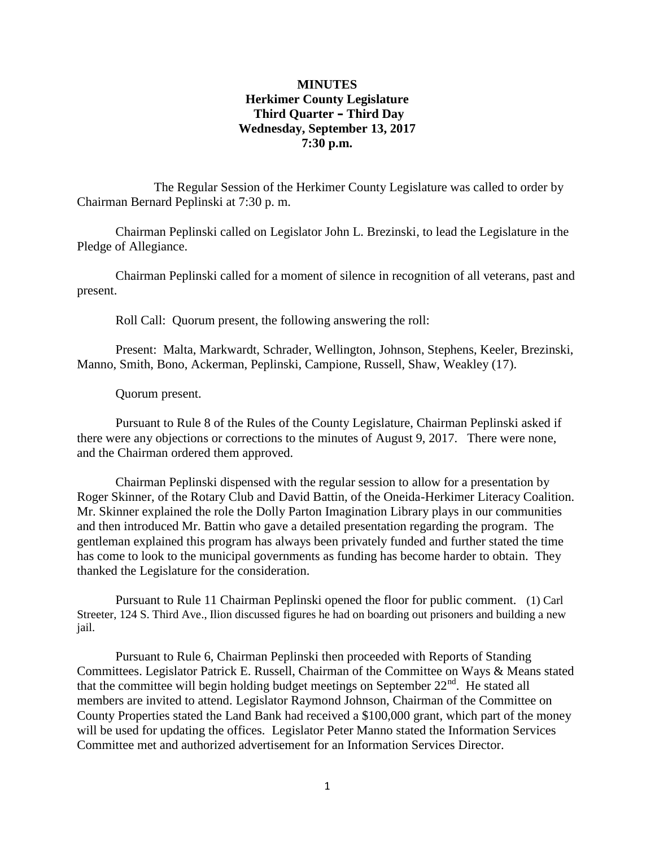### **MINUTES Herkimer County Legislature Third Quarter – Third Day Wednesday, September 13, 2017 7:30 p.m.**

The Regular Session of the Herkimer County Legislature was called to order by Chairman Bernard Peplinski at 7:30 p. m.

Chairman Peplinski called on Legislator John L. Brezinski, to lead the Legislature in the Pledge of Allegiance.

Chairman Peplinski called for a moment of silence in recognition of all veterans, past and present.

Roll Call: Quorum present, the following answering the roll:

Present: Malta, Markwardt, Schrader, Wellington, Johnson, Stephens, Keeler, Brezinski, Manno, Smith, Bono, Ackerman, Peplinski, Campione, Russell, Shaw, Weakley (17).

Quorum present.

Pursuant to Rule 8 of the Rules of the County Legislature, Chairman Peplinski asked if there were any objections or corrections to the minutes of August 9, 2017. There were none, and the Chairman ordered them approved.

Chairman Peplinski dispensed with the regular session to allow for a presentation by Roger Skinner, of the Rotary Club and David Battin, of the Oneida-Herkimer Literacy Coalition. Mr. Skinner explained the role the Dolly Parton Imagination Library plays in our communities and then introduced Mr. Battin who gave a detailed presentation regarding the program. The gentleman explained this program has always been privately funded and further stated the time has come to look to the municipal governments as funding has become harder to obtain. They thanked the Legislature for the consideration.

Pursuant to Rule 11 Chairman Peplinski opened the floor for public comment. (1) Carl Streeter, 124 S. Third Ave., Ilion discussed figures he had on boarding out prisoners and building a new jail.

Pursuant to Rule 6, Chairman Peplinski then proceeded with Reports of Standing Committees. Legislator Patrick E. Russell, Chairman of the Committee on Ways & Means stated that the committee will begin holding budget meetings on September  $22<sup>nd</sup>$ . He stated all members are invited to attend. Legislator Raymond Johnson, Chairman of the Committee on County Properties stated the Land Bank had received a \$100,000 grant, which part of the money will be used for updating the offices. Legislator Peter Manno stated the Information Services Committee met and authorized advertisement for an Information Services Director.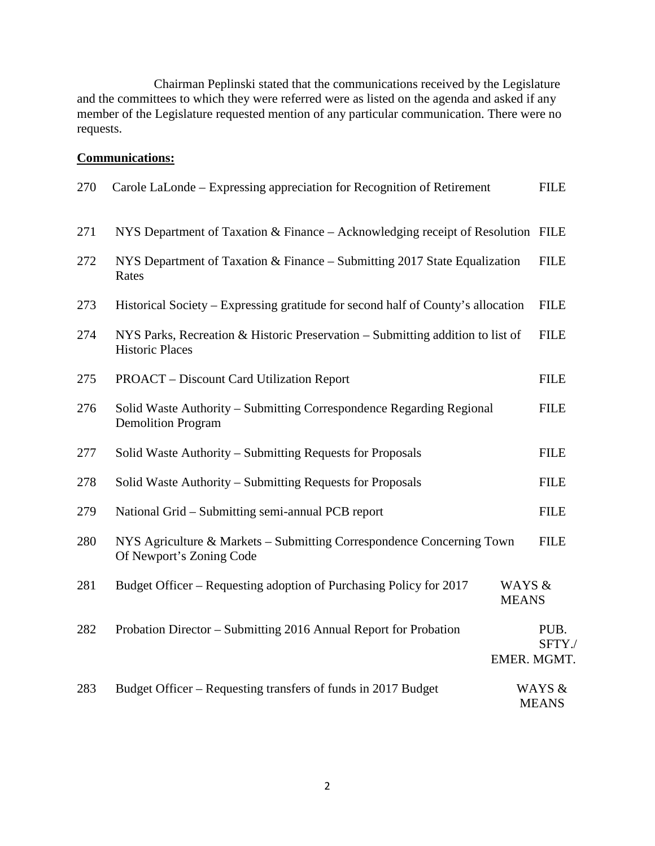Chairman Peplinski stated that the communications received by the Legislature and the committees to which they were referred were as listed on the agenda and asked if any member of the Legislature requested mention of any particular communication. There were no requests.

## **Communications:**

| 270 | Carole LaLonde – Expressing appreciation for Recognition of Retirement                                   | <b>FILE</b>                   |
|-----|----------------------------------------------------------------------------------------------------------|-------------------------------|
| 271 | NYS Department of Taxation & Finance - Acknowledging receipt of Resolution FILE                          |                               |
| 272 | NYS Department of Taxation & Finance – Submitting 2017 State Equalization<br>Rates                       | <b>FILE</b>                   |
| 273 | Historical Society – Expressing gratitude for second half of County's allocation                         | <b>FILE</b>                   |
| 274 | NYS Parks, Recreation & Historic Preservation – Submitting addition to list of<br><b>Historic Places</b> | <b>FILE</b>                   |
| 275 | <b>PROACT</b> – Discount Card Utilization Report                                                         | <b>FILE</b>                   |
| 276 | Solid Waste Authority - Submitting Correspondence Regarding Regional<br><b>Demolition Program</b>        | <b>FILE</b>                   |
| 277 | Solid Waste Authority – Submitting Requests for Proposals                                                | <b>FILE</b>                   |
| 278 | Solid Waste Authority – Submitting Requests for Proposals                                                | <b>FILE</b>                   |
| 279 | National Grid – Submitting semi-annual PCB report                                                        | <b>FILE</b>                   |
| 280 | NYS Agriculture & Markets – Submitting Correspondence Concerning Town<br>Of Newport's Zoning Code        | <b>FILE</b>                   |
| 281 | Budget Officer – Requesting adoption of Purchasing Policy for 2017<br><b>MEANS</b>                       | WAYS &                        |
| 282 | Probation Director – Submitting 2016 Annual Report for Probation                                         | PUB.<br>SFTY./<br>EMER. MGMT. |
| 283 | Budget Officer – Requesting transfers of funds in 2017 Budget                                            | WAYS &<br><b>MEANS</b>        |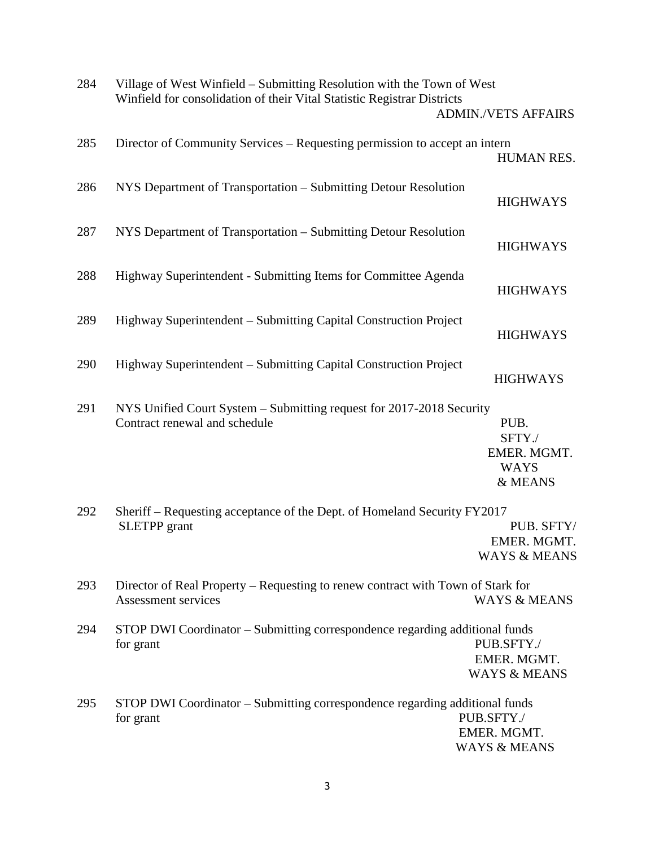| 284 | Village of West Winfield - Submitting Resolution with the Town of West<br>Winfield for consolidation of their Vital Statistic Registrar Districts | <b>ADMIN./VETS AFFAIRS</b>                              |
|-----|---------------------------------------------------------------------------------------------------------------------------------------------------|---------------------------------------------------------|
| 285 | Director of Community Services – Requesting permission to accept an intern                                                                        | HUMAN RES.                                              |
| 286 | NYS Department of Transportation - Submitting Detour Resolution                                                                                   | <b>HIGHWAYS</b>                                         |
| 287 | NYS Department of Transportation - Submitting Detour Resolution                                                                                   | <b>HIGHWAYS</b>                                         |
| 288 | Highway Superintendent - Submitting Items for Committee Agenda                                                                                    | <b>HIGHWAYS</b>                                         |
| 289 | Highway Superintendent – Submitting Capital Construction Project                                                                                  | <b>HIGHWAYS</b>                                         |
| 290 | Highway Superintendent – Submitting Capital Construction Project                                                                                  | <b>HIGHWAYS</b>                                         |
| 291 | NYS Unified Court System - Submitting request for 2017-2018 Security<br>Contract renewal and schedule                                             | PUB.<br>SFTY./<br>EMER. MGMT.<br><b>WAYS</b><br>& MEANS |
| 292 | Sheriff – Requesting acceptance of the Dept. of Homeland Security FY2017<br><b>SLETPP</b> grant                                                   | PUB. SFTY/<br>EMER. MGMT.<br><b>WAYS &amp; MEANS</b>    |
| 293 | Director of Real Property – Requesting to renew contract with Town of Stark for<br>Assessment services                                            | <b>WAYS &amp; MEANS</b>                                 |
| 294 | STOP DWI Coordinator - Submitting correspondence regarding additional funds<br>for grant                                                          | PUB.SFTY./<br>EMER. MGMT.<br><b>WAYS &amp; MEANS</b>    |
| 295 | STOP DWI Coordinator - Submitting correspondence regarding additional funds<br>for grant                                                          | PUB.SFTY./<br>EMER. MGMT.<br><b>WAYS &amp; MEANS</b>    |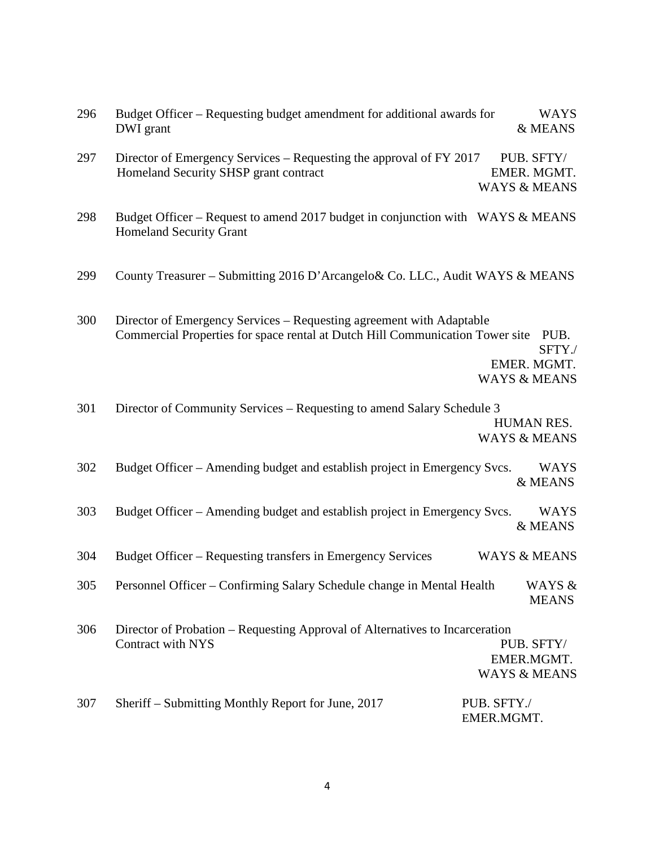| 296 | Budget Officer – Requesting budget amendment for additional awards for<br>DWI grant                                                                   | <b>WAYS</b><br>& MEANS                                   |
|-----|-------------------------------------------------------------------------------------------------------------------------------------------------------|----------------------------------------------------------|
| 297 | Director of Emergency Services – Requesting the approval of FY 2017<br>Homeland Security SHSP grant contract                                          | PUB. SFTY/<br>EMER. MGMT.<br><b>WAYS &amp; MEANS</b>     |
| 298 | Budget Officer – Request to amend 2017 budget in conjunction with WAYS & MEANS<br><b>Homeland Security Grant</b>                                      |                                                          |
| 299 | County Treasurer – Submitting 2016 D'Arcangelo& Co. LLC., Audit WAYS & MEANS                                                                          |                                                          |
| 300 | Director of Emergency Services – Requesting agreement with Adaptable<br>Commercial Properties for space rental at Dutch Hill Communication Tower site | PUB.<br>SFTY./<br>EMER. MGMT.<br><b>WAYS &amp; MEANS</b> |
| 301 | Director of Community Services – Requesting to amend Salary Schedule 3                                                                                | HUMAN RES.<br><b>WAYS &amp; MEANS</b>                    |
| 302 | Budget Officer - Amending budget and establish project in Emergency Svcs.                                                                             | WAYS<br>& MEANS                                          |
| 303 | Budget Officer – Amending budget and establish project in Emergency Svcs.                                                                             | <b>WAYS</b><br>& MEANS                                   |
| 304 | Budget Officer – Requesting transfers in Emergency Services                                                                                           | <b>WAYS &amp; MEANS</b>                                  |
| 305 | Personnel Officer – Confirming Salary Schedule change in Mental Health                                                                                | WAYS &<br><b>MEANS</b>                                   |
| 306 | Director of Probation - Requesting Approval of Alternatives to Incarceration<br><b>Contract with NYS</b>                                              | PUB. SFTY/<br>EMER.MGMT.<br><b>WAYS &amp; MEANS</b>      |
| 307 | Sheriff – Submitting Monthly Report for June, 2017                                                                                                    | PUB. SFTY./<br>EMER.MGMT.                                |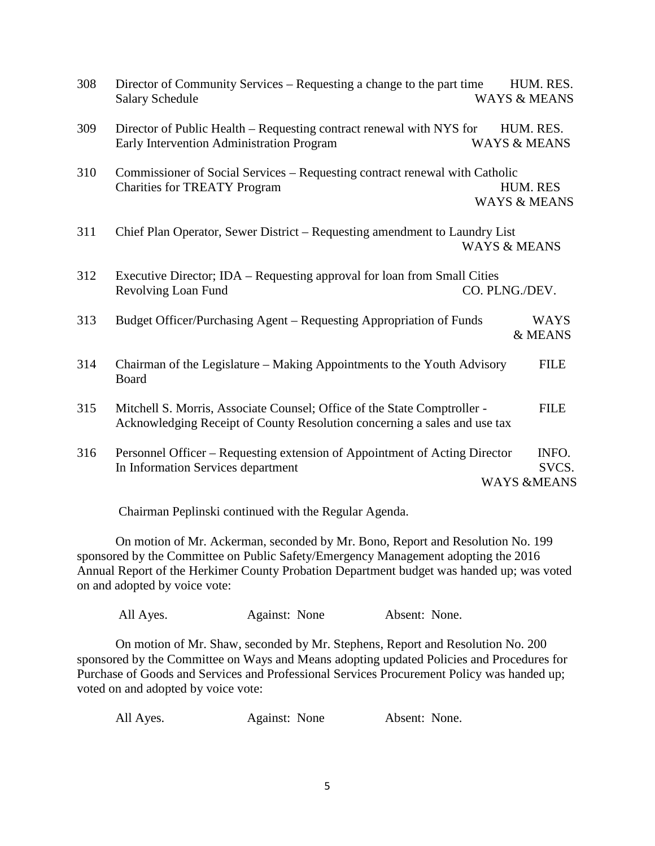| 308 | Director of Community Services – Requesting a change to the part time<br><b>Salary Schedule</b>                                                       | <b>WAYS &amp; MEANS</b>              | HUM. RES.              |
|-----|-------------------------------------------------------------------------------------------------------------------------------------------------------|--------------------------------------|------------------------|
| 309 | Director of Public Health – Requesting contract renewal with NYS for<br>Early Intervention Administration Program                                     | HUM. RES.<br><b>WAYS &amp; MEANS</b> |                        |
| 310 | Commissioner of Social Services - Requesting contract renewal with Catholic<br><b>Charities for TREATY Program</b>                                    | HUM. RES<br><b>WAYS &amp; MEANS</b>  |                        |
| 311 | Chief Plan Operator, Sewer District – Requesting amendment to Laundry List                                                                            | <b>WAYS &amp; MEANS</b>              |                        |
| 312 | Executive Director; IDA – Requesting approval for loan from Small Cities<br>Revolving Loan Fund                                                       | CO. PLNG./DEV.                       |                        |
| 313 | Budget Officer/Purchasing Agent – Requesting Appropriation of Funds                                                                                   |                                      | <b>WAYS</b><br>& MEANS |
| 314 | Chairman of the Legislature – Making Appointments to the Youth Advisory<br>Board                                                                      |                                      | <b>FILE</b>            |
| 315 | Mitchell S. Morris, Associate Counsel; Office of the State Comptroller -<br>Acknowledging Receipt of County Resolution concerning a sales and use tax |                                      | <b>FILE</b>            |
| 316 | Personnel Officer – Requesting extension of Appointment of Acting Director<br>In Information Services department                                      | <b>WAYS &amp;MEANS</b>               | INFO.<br>SVCS.         |

Chairman Peplinski continued with the Regular Agenda.

On motion of Mr. Ackerman, seconded by Mr. Bono, Report and Resolution No. 199 sponsored by the Committee on Public Safety/Emergency Management adopting the 2016 Annual Report of the Herkimer County Probation Department budget was handed up; was voted on and adopted by voice vote:

All Ayes. Against: None Absent: None.

On motion of Mr. Shaw, seconded by Mr. Stephens, Report and Resolution No. 200 sponsored by the Committee on Ways and Means adopting updated Policies and Procedures for Purchase of Goods and Services and Professional Services Procurement Policy was handed up; voted on and adopted by voice vote:

| All Ayes. | Against: None | Absent: None. |
|-----------|---------------|---------------|
|           |               |               |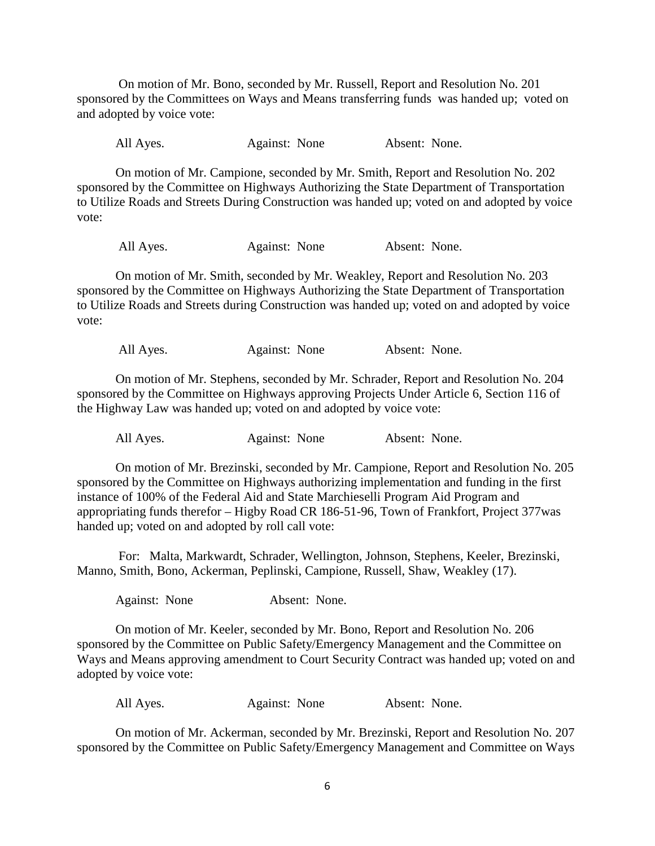On motion of Mr. Bono, seconded by Mr. Russell, Report and Resolution No. 201 sponsored by the Committees on Ways and Means transferring funds was handed up; voted on and adopted by voice vote:

All Ayes. Against: None Absent: None.

On motion of Mr. Campione, seconded by Mr. Smith, Report and Resolution No. 202 sponsored by the Committee on Highways Authorizing the State Department of Transportation to Utilize Roads and Streets During Construction was handed up; voted on and adopted by voice vote:

All Ayes. Against: None Absent: None.

On motion of Mr. Smith, seconded by Mr. Weakley, Report and Resolution No. 203 sponsored by the Committee on Highways Authorizing the State Department of Transportation to Utilize Roads and Streets during Construction was handed up; voted on and adopted by voice vote:

All Ayes. Against: None Absent: None.

On motion of Mr. Stephens, seconded by Mr. Schrader, Report and Resolution No. 204 sponsored by the Committee on Highways approving Projects Under Article 6, Section 116 of the Highway Law was handed up; voted on and adopted by voice vote:

All Ayes. Against: None Absent: None.

On motion of Mr. Brezinski, seconded by Mr. Campione, Report and Resolution No. 205 sponsored by the Committee on Highways authorizing implementation and funding in the first instance of 100% of the Federal Aid and State Marchieselli Program Aid Program and appropriating funds therefor – Higby Road CR 186-51-96, Town of Frankfort, Project 377was handed up; voted on and adopted by roll call vote:

For: Malta, Markwardt, Schrader, Wellington, Johnson, Stephens, Keeler, Brezinski, Manno, Smith, Bono, Ackerman, Peplinski, Campione, Russell, Shaw, Weakley (17).

Against: None Absent: None.

On motion of Mr. Keeler, seconded by Mr. Bono, Report and Resolution No. 206 sponsored by the Committee on Public Safety/Emergency Management and the Committee on Ways and Means approving amendment to Court Security Contract was handed up; voted on and adopted by voice vote:

All Ayes. Against: None Absent: None.

On motion of Mr. Ackerman, seconded by Mr. Brezinski, Report and Resolution No. 207 sponsored by the Committee on Public Safety/Emergency Management and Committee on Ways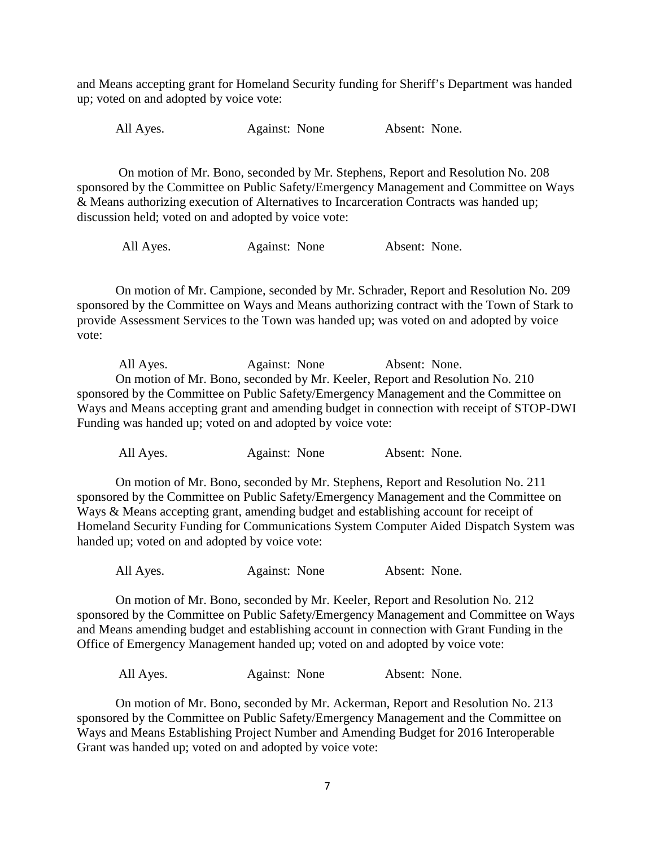and Means accepting grant for Homeland Security funding for Sheriff's Department was handed up; voted on and adopted by voice vote:

All Ayes. Against: None Absent: None.

On motion of Mr. Bono, seconded by Mr. Stephens, Report and Resolution No. 208 sponsored by the Committee on Public Safety/Emergency Management and Committee on Ways & Means authorizing execution of Alternatives to Incarceration Contracts was handed up; discussion held; voted on and adopted by voice vote:

All Ayes. Against: None Absent: None.

On motion of Mr. Campione, seconded by Mr. Schrader, Report and Resolution No. 209 sponsored by the Committee on Ways and Means authorizing contract with the Town of Stark to provide Assessment Services to the Town was handed up; was voted on and adopted by voice vote:

All Ayes. Against: None Absent: None. On motion of Mr. Bono, seconded by Mr. Keeler, Report and Resolution No. 210 sponsored by the Committee on Public Safety/Emergency Management and the Committee on Ways and Means accepting grant and amending budget in connection with receipt of STOP-DWI Funding was handed up; voted on and adopted by voice vote:

All Ayes. Against: None Absent: None.

On motion of Mr. Bono, seconded by Mr. Stephens, Report and Resolution No. 211 sponsored by the Committee on Public Safety/Emergency Management and the Committee on Ways & Means accepting grant, amending budget and establishing account for receipt of Homeland Security Funding for Communications System Computer Aided Dispatch System was handed up; voted on and adopted by voice vote:

All Ayes. Against: None Absent: None.

On motion of Mr. Bono, seconded by Mr. Keeler, Report and Resolution No. 212 sponsored by the Committee on Public Safety/Emergency Management and Committee on Ways and Means amending budget and establishing account in connection with Grant Funding in the Office of Emergency Management handed up; voted on and adopted by voice vote:

All Ayes. Against: None Absent: None.

On motion of Mr. Bono, seconded by Mr. Ackerman, Report and Resolution No. 213 sponsored by the Committee on Public Safety/Emergency Management and the Committee on Ways and Means Establishing Project Number and Amending Budget for 2016 Interoperable Grant was handed up; voted on and adopted by voice vote: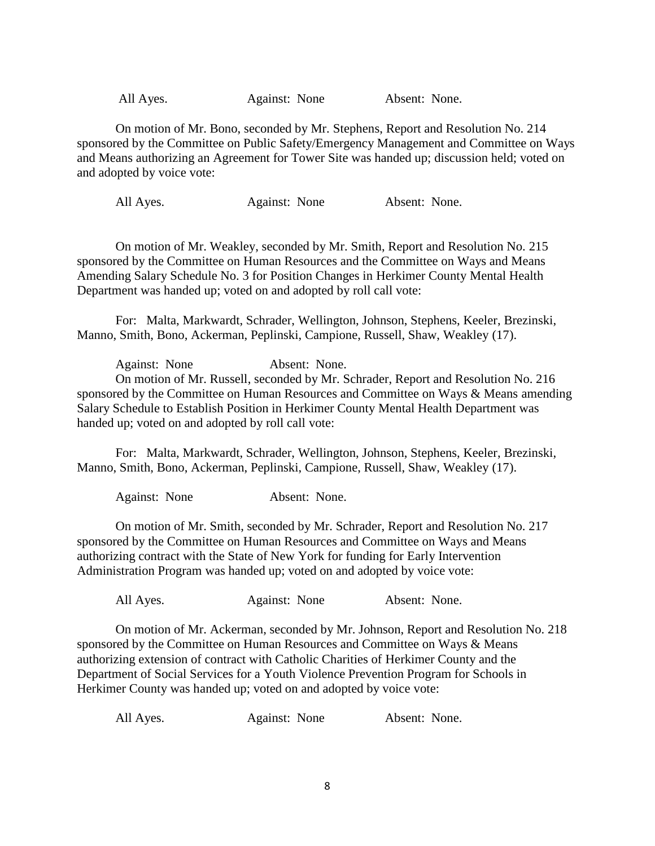All Ayes. Against: None Absent: None.

On motion of Mr. Bono, seconded by Mr. Stephens, Report and Resolution No. 214 sponsored by the Committee on Public Safety/Emergency Management and Committee on Ways and Means authorizing an Agreement for Tower Site was handed up; discussion held; voted on and adopted by voice vote:

All Ayes. Against: None Absent: None.

On motion of Mr. Weakley, seconded by Mr. Smith, Report and Resolution No. 215 sponsored by the Committee on Human Resources and the Committee on Ways and Means Amending Salary Schedule No. 3 for Position Changes in Herkimer County Mental Health Department was handed up; voted on and adopted by roll call vote:

For: Malta, Markwardt, Schrader, Wellington, Johnson, Stephens, Keeler, Brezinski, Manno, Smith, Bono, Ackerman, Peplinski, Campione, Russell, Shaw, Weakley (17).

Against: None Absent: None. On motion of Mr. Russell, seconded by Mr. Schrader, Report and Resolution No. 216 sponsored by the Committee on Human Resources and Committee on Ways & Means amending Salary Schedule to Establish Position in Herkimer County Mental Health Department was handed up; voted on and adopted by roll call vote:

For: Malta, Markwardt, Schrader, Wellington, Johnson, Stephens, Keeler, Brezinski, Manno, Smith, Bono, Ackerman, Peplinski, Campione, Russell, Shaw, Weakley (17).

Against: None Absent: None.

On motion of Mr. Smith, seconded by Mr. Schrader, Report and Resolution No. 217 sponsored by the Committee on Human Resources and Committee on Ways and Means authorizing contract with the State of New York for funding for Early Intervention Administration Program was handed up; voted on and adopted by voice vote:

All Ayes. Against: None Absent: None.

On motion of Mr. Ackerman, seconded by Mr. Johnson, Report and Resolution No. 218 sponsored by the Committee on Human Resources and Committee on Ways & Means authorizing extension of contract with Catholic Charities of Herkimer County and the Department of Social Services for a Youth Violence Prevention Program for Schools in Herkimer County was handed up; voted on and adopted by voice vote:

| All Ayes. | Against: None | Absent: None. |
|-----------|---------------|---------------|
|-----------|---------------|---------------|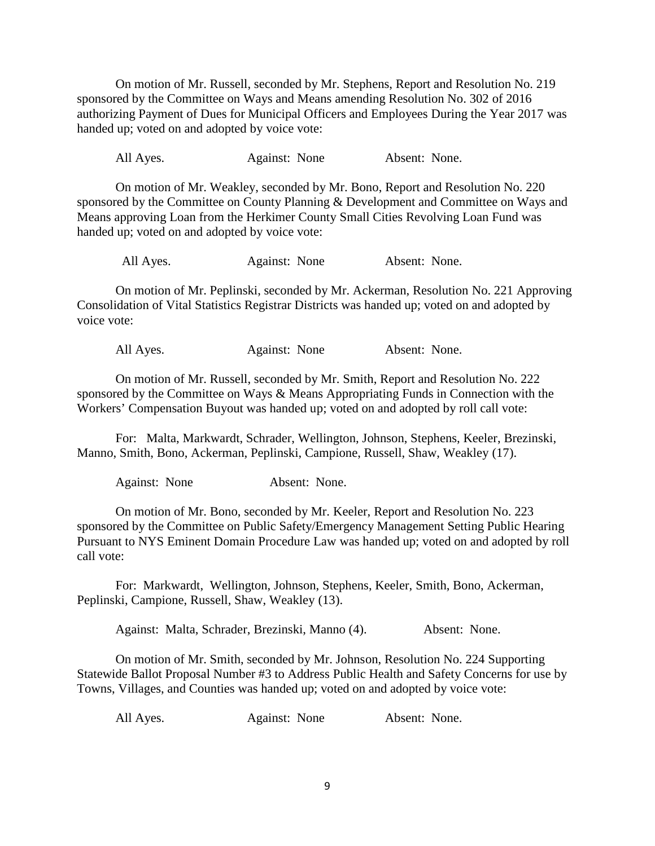On motion of Mr. Russell, seconded by Mr. Stephens, Report and Resolution No. 219 sponsored by the Committee on Ways and Means amending Resolution No. 302 of 2016 authorizing Payment of Dues for Municipal Officers and Employees During the Year 2017 was handed up; voted on and adopted by voice vote:

All Ayes. Against: None Absent: None.

On motion of Mr. Weakley, seconded by Mr. Bono, Report and Resolution No. 220 sponsored by the Committee on County Planning & Development and Committee on Ways and Means approving Loan from the Herkimer County Small Cities Revolving Loan Fund was handed up; voted on and adopted by voice vote:

All Ayes. Against: None Absent: None.

On motion of Mr. Peplinski, seconded by Mr. Ackerman, Resolution No. 221 Approving Consolidation of Vital Statistics Registrar Districts was handed up; voted on and adopted by voice vote:

All Ayes. Against: None Absent: None.

On motion of Mr. Russell, seconded by Mr. Smith, Report and Resolution No. 222 sponsored by the Committee on Ways & Means Appropriating Funds in Connection with the Workers' Compensation Buyout was handed up; voted on and adopted by roll call vote:

For: Malta, Markwardt, Schrader, Wellington, Johnson, Stephens, Keeler, Brezinski, Manno, Smith, Bono, Ackerman, Peplinski, Campione, Russell, Shaw, Weakley (17).

Against: None Absent: None.

On motion of Mr. Bono, seconded by Mr. Keeler, Report and Resolution No. 223 sponsored by the Committee on Public Safety/Emergency Management Setting Public Hearing Pursuant to NYS Eminent Domain Procedure Law was handed up; voted on and adopted by roll call vote:

For: Markwardt, Wellington, Johnson, Stephens, Keeler, Smith, Bono, Ackerman, Peplinski, Campione, Russell, Shaw, Weakley (13).

Against: Malta, Schrader, Brezinski, Manno (4). Absent: None.

On motion of Mr. Smith, seconded by Mr. Johnson, Resolution No. 224 Supporting Statewide Ballot Proposal Number #3 to Address Public Health and Safety Concerns for use by Towns, Villages, and Counties was handed up; voted on and adopted by voice vote:

All Ayes. Against: None Absent: None.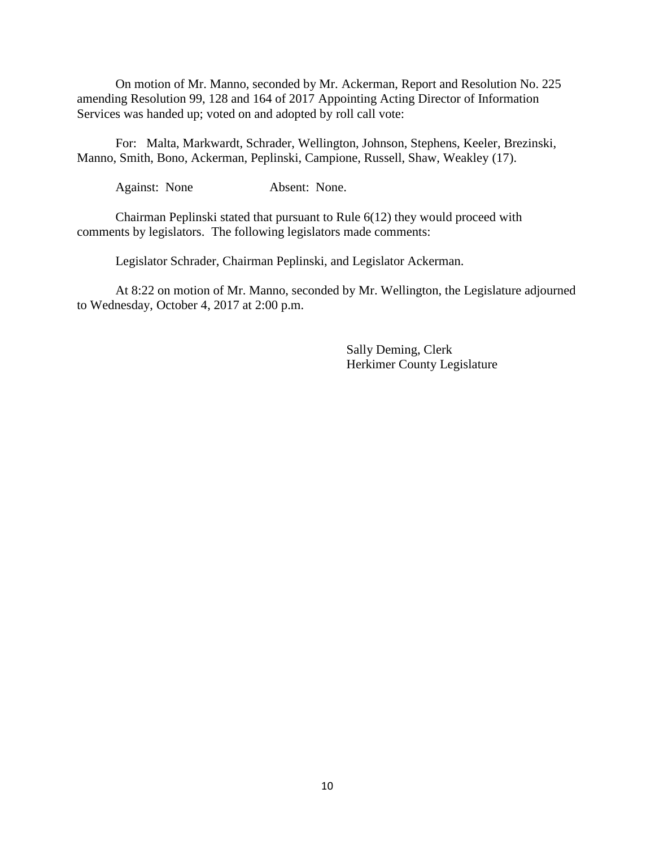On motion of Mr. Manno, seconded by Mr. Ackerman, Report and Resolution No. 225 amending Resolution 99, 128 and 164 of 2017 Appointing Acting Director of Information Services was handed up; voted on and adopted by roll call vote:

For: Malta, Markwardt, Schrader, Wellington, Johnson, Stephens, Keeler, Brezinski, Manno, Smith, Bono, Ackerman, Peplinski, Campione, Russell, Shaw, Weakley (17).

Against: None Absent: None.

Chairman Peplinski stated that pursuant to Rule 6(12) they would proceed with comments by legislators. The following legislators made comments:

Legislator Schrader, Chairman Peplinski, and Legislator Ackerman.

At 8:22 on motion of Mr. Manno, seconded by Mr. Wellington, the Legislature adjourned to Wednesday, October 4, 2017 at 2:00 p.m.

> Sally Deming, Clerk Herkimer County Legislature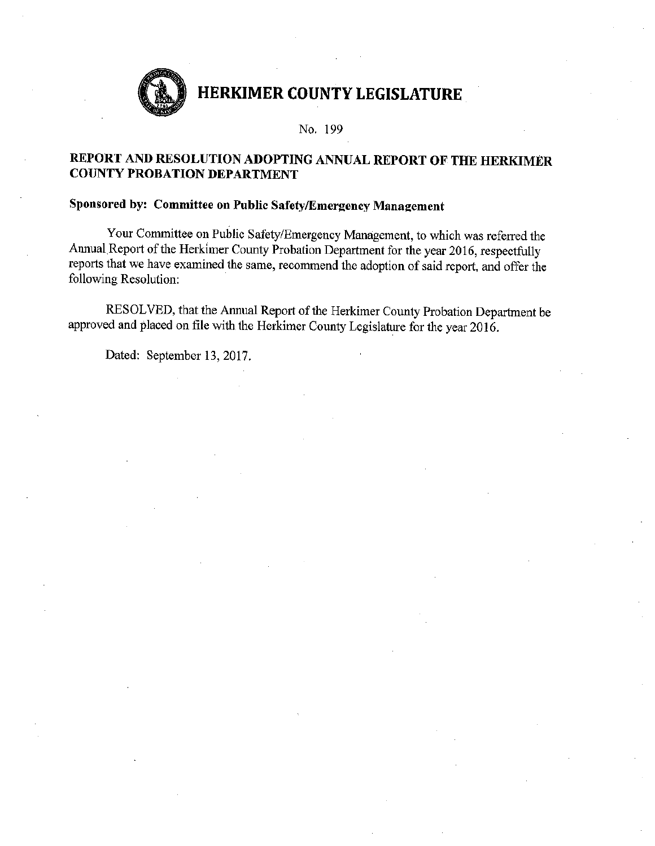

No. 199

### REPORT AND RESOLUTION ADOPTING ANNUAL REPORT OF THE HERKIMER **COUNTY PROBATION DEPARTMENT**

### Sponsored by: Committee on Public Safety/Emergency Management

Your Committee on Public Safety/Emergency Management, to which was referred the Annual Report of the Herkimer County Probation Department for the year 2016, respectfully reports that we have examined the same, recommend the adoption of said report, and offer the following Resolution:

RESOLVED, that the Annual Report of the Herkimer County Probation Department be approved and placed on file with the Herkimer County Legislature for the year 2016.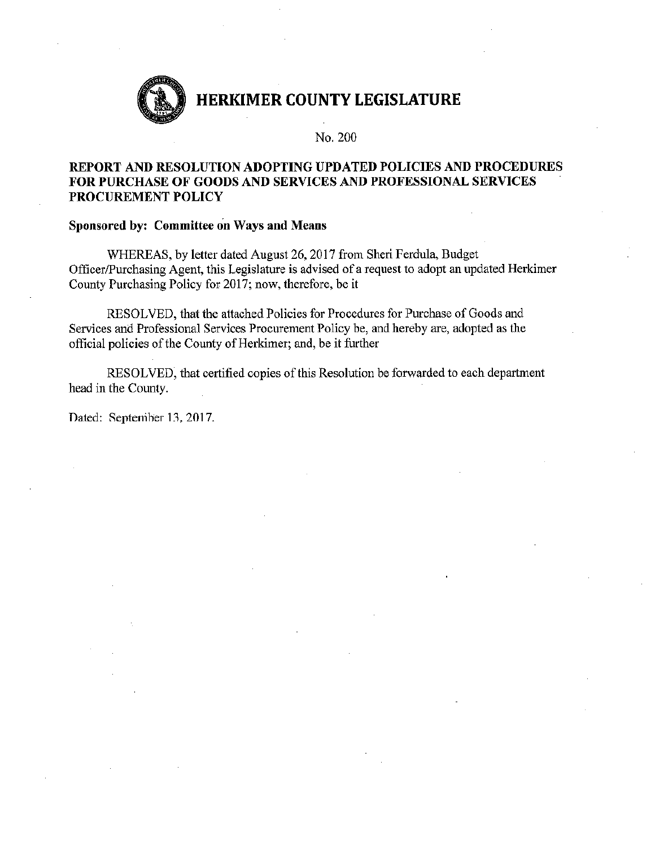

No. 200

### REPORT AND RESOLUTION ADOPTING UPDATED POLICIES AND PROCEDURES **FOR PURCHASE OF GOODS AND SERVICES AND PROFESSIONAL SERVICES** PROCUREMENT POLICY

#### Sponsored by: Committee on Ways and Means

WHEREAS, by letter dated August 26, 2017 from Sheri Ferdula, Budget Officer/Purchasing Agent, this Legislature is advised of a request to adopt an updated Herkimer County Purchasing Policy for 2017; now, therefore, be it

RESOLVED, that the attached Policies for Procedures for Purchase of Goods and Services and Professional Services Procurement Policy be, and hereby are, adopted as the official policies of the County of Herkimer; and, be it further

RESOLVED, that certified copies of this Resolution be forwarded to each department head in the County.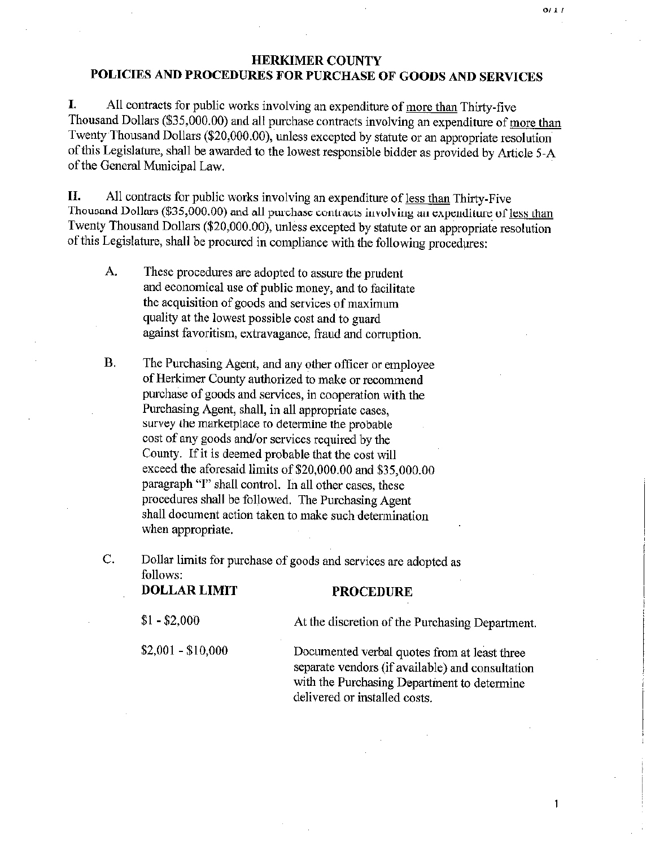### **HERKIMER COUNTY** POLICIES AND PROCEDURES FOR PURCHASE OF GOODS AND SERVICES

I. All contracts for public works involving an expenditure of more than Thirty-five Thousand Dollars (\$35,000.00) and all purchase contracts involving an expenditure of more than Twenty Thousand Dollars (\$20,000.00), unless excepted by statute or an appropriate resolution of this Legislature, shall be awarded to the lowest responsible bidder as provided by Article 5-A of the General Municipal Law.

П. All contracts for public works involving an expenditure of less than Thirty-Five Thousand Dollars (\$35,000.00) and all purchase contracts involving an expenditure of less than Twenty Thousand Dollars (\$20,000.00), unless excepted by statute or an appropriate resolution of this Legislature, shall be procured in compliance with the following procedures:

- $A<sub>1</sub>$ These procedures are adopted to assure the prudent and economical use of public money, and to facilitate the acquisition of goods and services of maximum quality at the lowest possible cost and to guard against favoritism, extravagance, fraud and corruption.
- **B.** The Purchasing Agent, and any other officer or employee of Herkimer County authorized to make or recommend purchase of goods and services, in cooperation with the Purchasing Agent, shall, in all appropriate cases, survey the marketplace to determine the probable cost of any goods and/or services required by the County. If it is deemed probable that the cost will exceed the aforesaid limits of \$20,000.00 and \$35,000.00 paragraph "I" shall control. In all other cases, these procedures shall be followed. The Purchasing Agent shall document action taken to make such determination when appropriate.

C. Dollar limits for purchase of goods and services are adopted as follows:

**DOLLAR LIMIT** 

 $$1 - $2,000$ At the discretion of the Purchasing Department.  $$2,001 - $10,000$ Documented verbal quotes from at least three separate vendors (if available) and consultation with the Purchasing Department to determine delivered or installed costs.

**PROCEDURE** 

 $\mathbf{1}$ 

 $0/1/$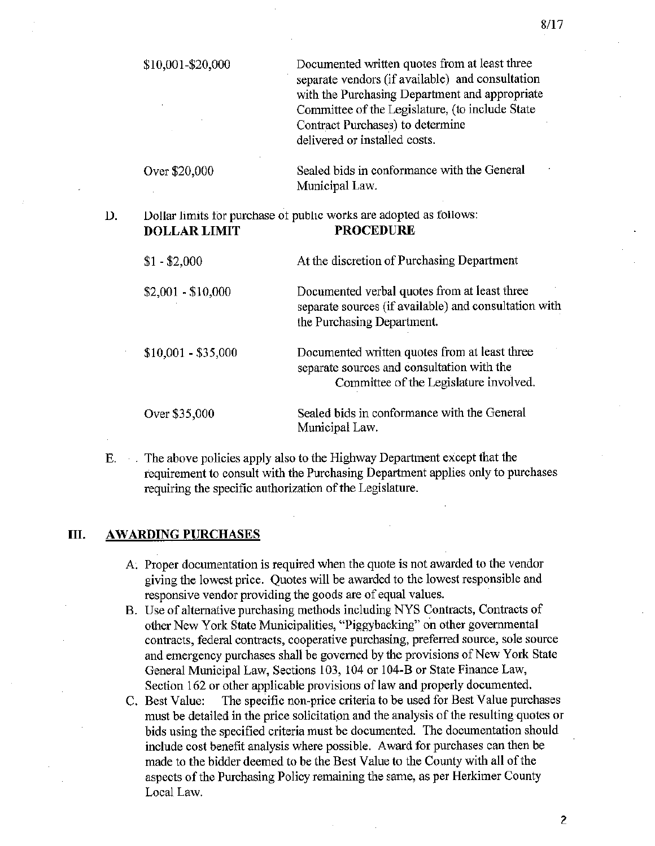| \$10,001-\$20,000   | Documented written quotes from at least three<br>separate vendors (if available) and consultation<br>with the Purchasing Department and appropriate<br>Committee of the Legislature, (to include State<br>Contract Purchases) to determine<br>delivered or installed costs. |
|---------------------|-----------------------------------------------------------------------------------------------------------------------------------------------------------------------------------------------------------------------------------------------------------------------------|
| Over \$20,000       | Sealed bids in conformance with the General<br>Municipal Law.                                                                                                                                                                                                               |
| <b>DOLLAR LIMIT</b> | Dollar limits for purchase of public works are adopted as follows:<br><b>PROCEDURE</b>                                                                                                                                                                                      |
| $$1 - $2,000$       | At the discretion of Purchasing Department                                                                                                                                                                                                                                  |
| $$2,001 - $10,000$  | Documented verbal quotes from at least three<br>separate sources (if available) and consultation with<br>the Purchasing Department.                                                                                                                                         |
| $$10,001 - $35,000$ | Documented written quotes from at least three<br>separate sources and consultation with the<br>Committee of the Legislature involved.                                                                                                                                       |
| Over \$35,000       | Sealed bids in conformance with the General<br>Municipal Law.                                                                                                                                                                                                               |

The above policies apply also to the Highway Department except that the Е. requirement to consult with the Purchasing Department applies only to purchases requiring the specific authorization of the Legislature.

#### Ш. **AWARDING PURCHASES**

D.

- A. Proper documentation is required when the quote is not awarded to the vendor giving the lowest price. Quotes will be awarded to the lowest responsible and responsive vendor providing the goods are of equal values.
- B. Use of alternative purchasing methods including NYS Contracts, Contracts of other New York State Municipalities, "Piggybacking" on other governmental contracts, federal contracts, cooperative purchasing, preferred source, sole source and emergency purchases shall be governed by the provisions of New York State General Municipal Law, Sections 103, 104 or 104-B or State Finance Law, Section 162 or other applicable provisions of law and properly documented.
- The specific non-price criteria to be used for Best Value purchases C. Best Value: must be detailed in the price solicitation and the analysis of the resulting quotes or bids using the specified criteria must be documented. The documentation should include cost benefit analysis where possible. Award for purchases can then be made to the bidder deemed to be the Best Value to the County with all of the aspects of the Purchasing Policy remaining the same, as per Herkimer County Local Law.

 $8/17$ 

 $\overline{c}$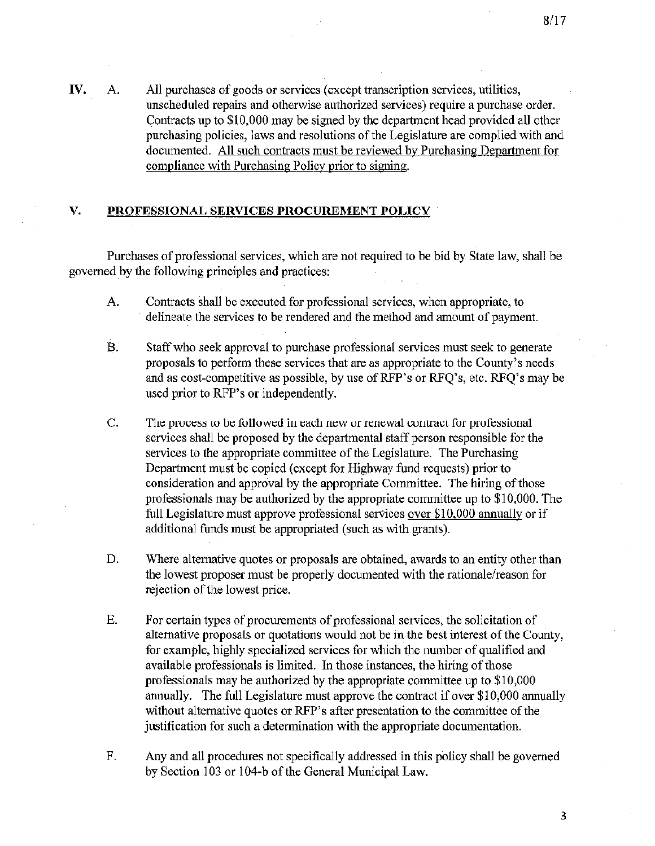IV. All purchases of goods or services (except transcription services, utilities, A. unscheduled repairs and otherwise authorized services) require a purchase order. Contracts up to \$10,000 may be signed by the department head provided all other purchasing policies, laws and resolutions of the Legislature are complied with and documented. All such contracts must be reviewed by Purchasing Department for compliance with Purchasing Policy prior to signing.

#### V. PROFESSIONAL SERVICES PROCUREMENT POLICY

Purchases of professional services, which are not required to be bid by State law, shall be governed by the following principles and practices:

- $\mathbf{A}$ . Contracts shall be executed for professional services, when appropriate, to delineate the services to be rendered and the method and amount of payment.
- Staff who seek approval to purchase professional services must seek to generate  $\overline{B}$ . proposals to perform these services that are as appropriate to the County's needs and as cost-competitive as possible, by use of RFP's or RFQ's, etc. RFQ's may be used prior to RFP's or independently.
- C. The process to be followed in each new or renewal contract for professional services shall be proposed by the departmental staff person responsible for the services to the appropriate committee of the Legislature. The Purchasing Department must be copied (except for Highway fund requests) prior to consideration and approval by the appropriate Committee. The hiring of those professionals may be authorized by the appropriate committee up to \$10,000. The full Legislature must approve professional services over \$10,000 annually or if additional funds must be appropriated (such as with grants).
- D. Where alternative quotes or proposals are obtained, awards to an entity other than the lowest proposer must be properly documented with the rationale/reason for rejection of the lowest price.
- E. For certain types of procurements of professional services, the solicitation of alternative proposals or quotations would not be in the best interest of the County, for example, highly specialized services for which the number of qualified and available professionals is limited. In those instances, the hiring of those professionals may be authorized by the appropriate committee up to \$10,000 annually. The full Legislature must approve the contract if over \$10,000 annually without alternative quotes or RFP's after presentation to the committee of the justification for such a determination with the appropriate documentation.
- F. Any and all procedures not specifically addressed in this policy shall be governed by Section 103 or 104-b of the General Municipal Law.

3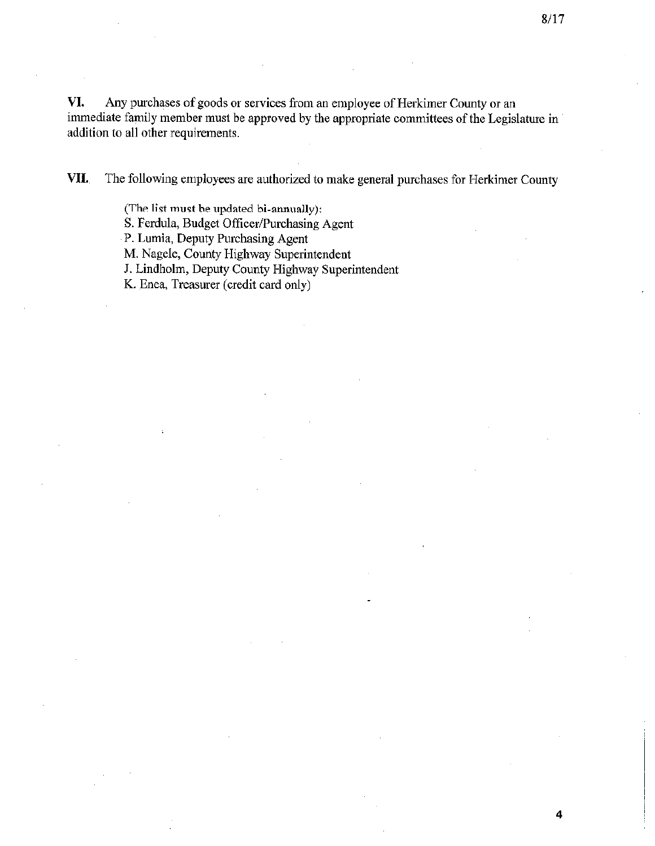VI. Any purchases of goods or services from an employee of Herkimer County or an immediate family member must be approved by the appropriate committees of the Legislature in addition to all other requirements.

VII. The following employees are authorized to make general purchases for Herkimer County

> (The list must be updated bi-annually): S. Ferdula, Budget Officer/Purchasing Agent P. Lumia, Deputy Purchasing Agent M. Nagele, County Highway Superintendent J. Lindholm, Deputy County Highway Superintendent K. Enea, Treasurer (credit card only)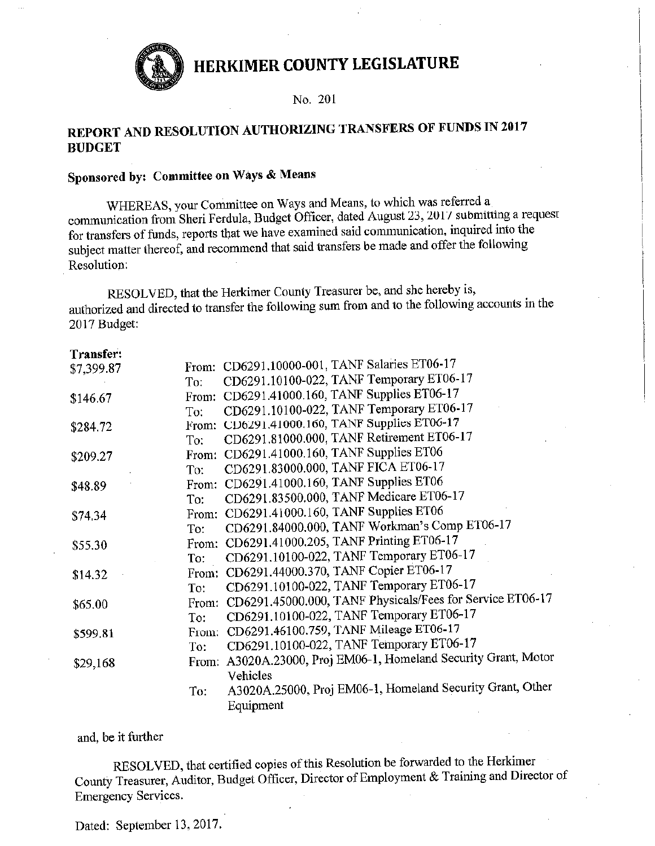

No. 201

## REPORT AND RESOLUTION AUTHORIZING TRANSFERS OF FUNDS IN 2017 **BUDGET**

## Sponsored by: Committee on Ways & Means

WHEREAS, your Committee on Ways and Means, to which was referred a communication from Sheri Ferdula, Budget Officer, dated August 23, 2017 submitting a request for transfers of funds, reports that we have examined said communication, inquired into the subject matter thereof, and recommend that said transfers be made and offer the following Resolution:

RESOLVED, that the Herkimer County Treasurer be, and she hereby is, authorized and directed to transfer the following sum from and to the following accounts in the 2017 Budget:

| Transfer:  |       |                                                                 |
|------------|-------|-----------------------------------------------------------------|
| \$7,399.87 |       | From: CD6291.10000-001, TANF Salaries ET06-17                   |
|            | To:   | CD6291.10100-022, TANF Temporary ET06-17                        |
| \$146.67   |       | From: CD6291.41000.160, TANF Supplies ET06-17                   |
|            | To:   | CD6291.10100-022, TANF Temporary ET06-17                        |
| \$284.72   | From: | CD6291.41000.160, TANF Supplies ET06-17                         |
|            | To:   | CD6291.81000.000, TANF Retirement ET06-17                       |
| \$209.27   | From: | CD6291.41000.160, TANF Supplies ET06                            |
|            | To:   | CD6291.83000.000, TANF FICA ET06-17                             |
| \$48.89    | From: | CD6291.41000.160, TANF Supplies ET06                            |
|            | To:   | CD6291.83500.000, TANF Medicare ET06-17                         |
| \$74.34    | From: | CD6291.41000.160, TANF Supplies ET06                            |
|            | To:   | CD6291.84000.000, TANF Workman's Comp ET06-17                   |
| \$55.30    |       | From: CD6291.41000.205, TANF Printing ET06-17                   |
|            | To:   | CD6291.10100-022, TANF Temporary ET06-17                        |
| \$14.32    |       | From: CD6291.44000.370, TANF Copier ET06-17                     |
|            | To:   | CD6291.10100-022, TANF Temporary ET06-17                        |
| \$65.00    |       | From: CD6291.45000.000, TANF Physicals/Fees for Service ET06-17 |
|            | To:   | CD6291.10100-022, TANF Temporary ET06-17                        |
| \$599.81   | From: | CD6291.46100.759, TANF Mileage ET06-17                          |
|            | To:   | CD6291.10100-022, TANF Temporary ET06-17                        |
| \$29,168   |       | From: A3020A.23000, Proj EM06-1, Homeland Security Grant, Motor |
|            |       | Vehicles                                                        |
|            | To:   | A3020A.25000, Proj EM06-1, Homeland Security Grant, Other       |
|            |       | Equipment                                                       |
|            |       |                                                                 |

and, be it further

RESOLVED, that certified copies of this Resolution be forwarded to the Herkimer County Treasurer, Auditor, Budget Officer, Director of Employment & Training and Director of **Emergency Services.**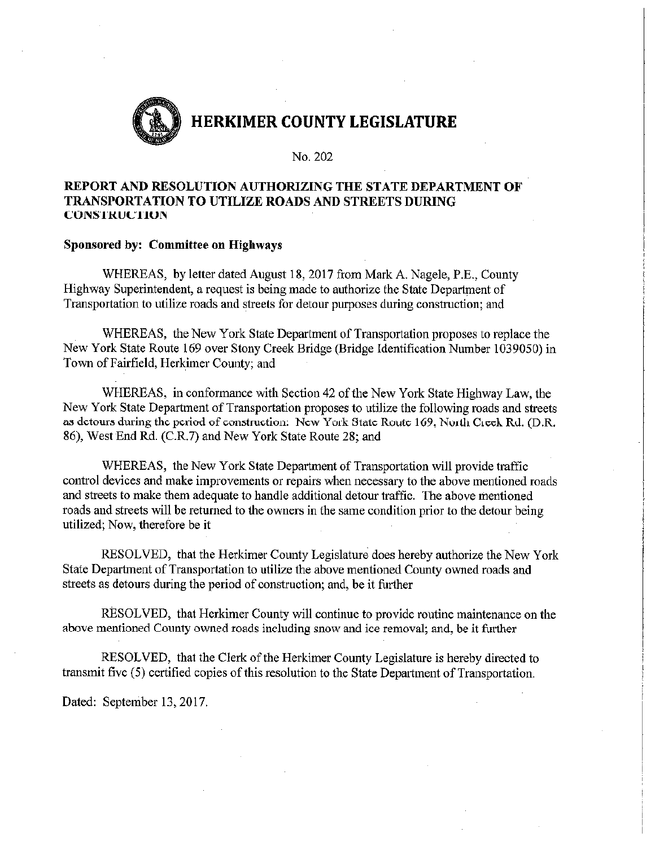

No. 202

### REPORT AND RESOLUTION AUTHORIZING THE STATE DEPARTMENT OF TRANSPORTATION TO UTILIZE ROADS AND STREETS DURING **CONSTRUCTION**

#### Sponsored by: Committee on Highways

WHEREAS, by letter dated August 18, 2017 from Mark A. Nagele, P.E., County Highway Superintendent, a request is being made to authorize the State Department of Transportation to utilize roads and streets for detour purposes during construction; and

WHEREAS, the New York State Department of Transportation proposes to replace the New York State Route 169 over Stony Creek Bridge (Bridge Identification Number 1039050) in Town of Fairfield, Herkimer County; and

WHEREAS, in conformance with Section 42 of the New York State Highway Law, the New York State Department of Transportation proposes to utilize the following roads and streets as detours during the period of construction: New York State Route 169, North Creek Rd. (D.R. 86), West End Rd. (C.R.7) and New York State Route 28; and

WHEREAS, the New York State Department of Transportation will provide traffic control devices and make improvements or repairs when necessary to the above mentioned roads and streets to make them adequate to handle additional detour traffic. The above mentioned roads and streets will be returned to the owners in the same condition prior to the detour being utilized; Now, therefore be it

RESOLVED, that the Herkimer County Legislature does hereby authorize the New York State Department of Transportation to utilize the above mentioned County owned roads and streets as detours during the period of construction; and, be it further

RESOLVED, that Herkimer County will continue to provide routine maintenance on the above mentioned County owned roads including snow and ice removal; and, be it further

RESOLVED, that the Clerk of the Herkimer County Legislature is hereby directed to transmit five (5) certified copies of this resolution to the State Department of Transportation.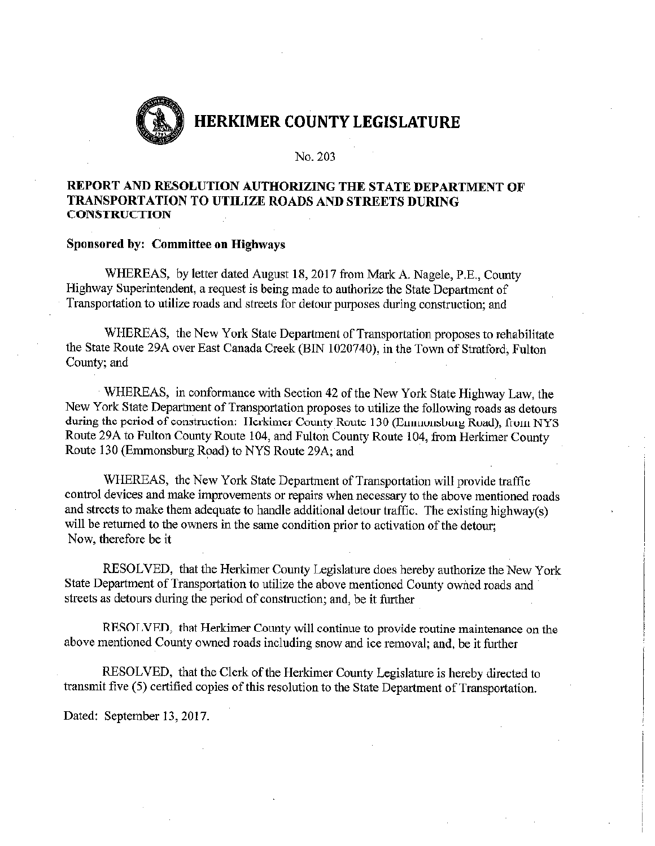

No. 203

### REPORT AND RESOLUTION AUTHORIZING THE STATE DEPARTMENT OF **TRANSPORTATION TO UTILIZE ROADS AND STREETS DURING CONSTRUCTION**

#### **Sponsored by: Committee on Highways**

WHEREAS, by letter dated August 18, 2017 from Mark A. Nagele, P.E., County Highway Superintendent, a request is being made to authorize the State Department of Transportation to utilize roads and streets for detour purposes during construction; and

WHEREAS, the New York State Department of Transportation proposes to rehabilitate the State Route 29A over East Canada Creek (BIN 1020740), in the Town of Stratford, Fulton County; and

WHEREAS, in conformance with Section 42 of the New York State Highway Law, the New York State Department of Transportation proposes to utilize the following roads as detours during the period of construction: Herkimer County Route 130 (Emmonsburg Road), from NYS Route 29A to Fulton County Route 104, and Fulton County Route 104, from Herkimer County Route 130 (Emmonsburg Road) to NYS Route 29A; and

WHEREAS, the New York State Department of Transportation will provide traffic control devices and make improvements or repairs when necessary to the above mentioned roads and streets to make them adequate to handle additional detour traffic. The existing highway(s) will be returned to the owners in the same condition prior to activation of the detour; Now, therefore be it

RESOLVED, that the Herkimer County Legislature does hereby authorize the New York State Department of Transportation to utilize the above mentioned County owned roads and streets as detours during the period of construction; and, be it further

RESOLVED, that Herkimer County will continue to provide routine maintenance on the above mentioned County owned roads including snow and ice removal; and, be it further

RESOLVED, that the Clerk of the Herkimer County Legislature is hereby directed to transmit five (5) certified copies of this resolution to the State Department of Transportation.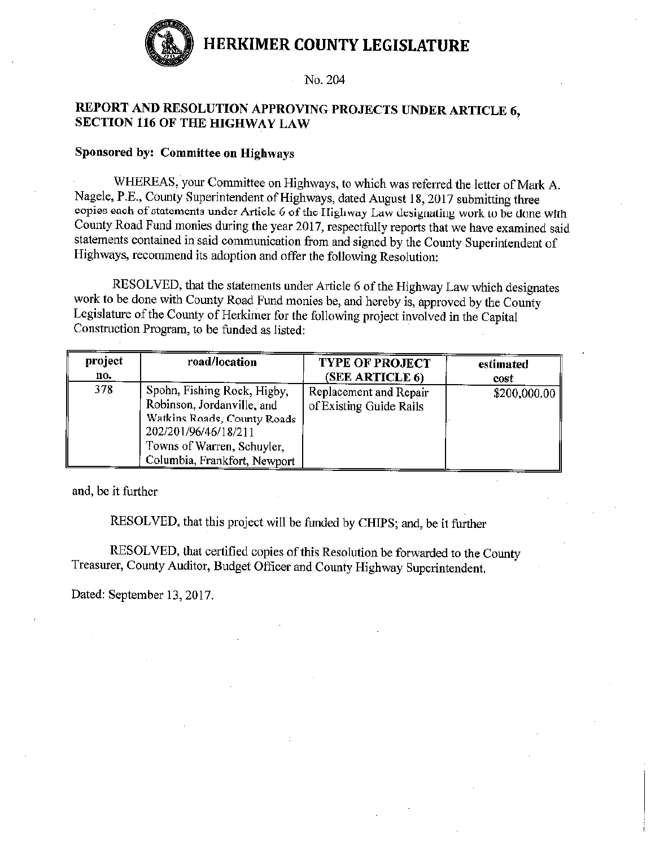

#### No. 204

### REPORT AND RESOLUTION APPROVING PROJECTS UNDER ARTICLE 6, **SECTION 116 OF THE HIGHWAY LAW**

#### Sponsored by: Committee on Highways

WHEREAS, your Committee on Highways, to which was referred the letter of Mark A. Nagele, P.E., County Superintendent of Highways, dated August 18, 2017 submitting three copies each of statements under Article 6 of the Highway Law designating work to be done with County Road Fund monies during the year 2017, respectfully reports that we have examined said statements contained in said communication from and signed by the County Superintendent of Highways, recommend its adoption and offer the following Resolution:

RESOLVED, that the statements under Article 6 of the Highway Law which designates work to be done with County Road Fund monies be, and hereby is, approved by the County Legislature of the County of Herkimer for the following project involved in the Capital Construction Program, to be funded as listed:

| project | road/location                                                                                                                                                                  | <b>TYPE OF PROJECT</b>                            | estimated    |
|---------|--------------------------------------------------------------------------------------------------------------------------------------------------------------------------------|---------------------------------------------------|--------------|
| no.     |                                                                                                                                                                                | (SEE ARTICLE 6)                                   | cost         |
| 378     | Spohn, Fishing Rock, Higby,<br>Robinson, Jordanville, and<br>Watkins Roads, County Roads<br>202/201/96/46/18/211<br>Towns of Warren, Schuyler,<br>Columbia, Frankfort, Newport | Replacement and Repair<br>of Existing Guide Rails | \$200,000.00 |

and, be it further

RESOLVED, that this project will be funded by CHIPS; and, be it further

RESOLVED, that certified copies of this Resolution be forwarded to the County Treasurer, County Auditor, Budget Officer and County Highway Superintendent.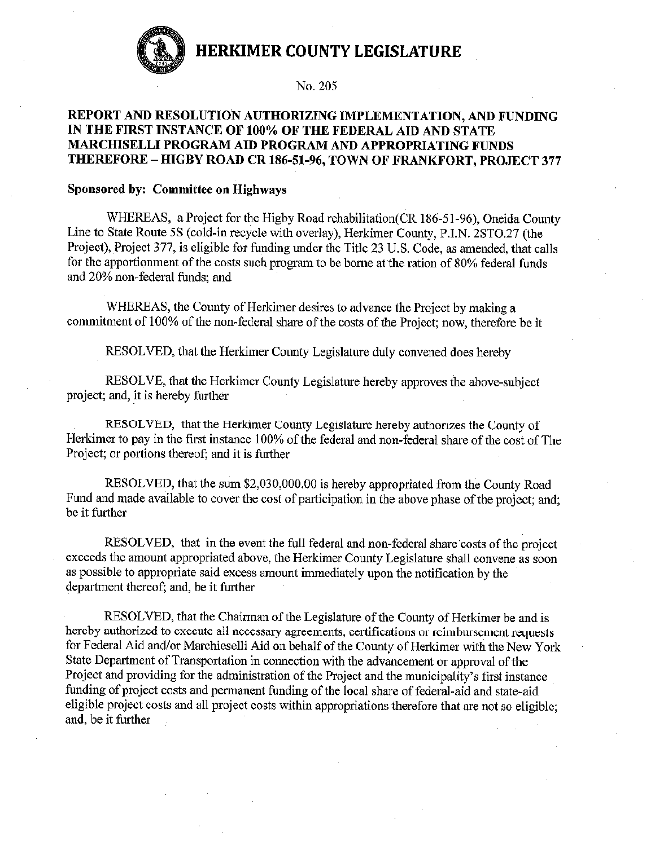

#### No. 205

### REPORT AND RESOLUTION AUTHORIZING IMPLEMENTATION, AND FUNDING IN THE FIRST INSTANCE OF 100% OF THE FEDERAL AID AND STATE MARCHISELLI PROGRAM AID PROGRAM AND APPROPRIATING FUNDS THEREFORE - HIGBY ROAD CR 186-51-96, TOWN OF FRANKFORT, PROJECT 377

#### Sponsored by: Committee on Highways

WHEREAS, a Project for the Higby Road rehabilitation (CR 186-51-96), Oneida County Line to State Route 5S (cold-in recycle with overlay), Herkimer County, P.I.N. 2STO.27 (the Project), Project 377, is eligible for funding under the Title 23 U.S. Code, as amended, that calls for the apportionment of the costs such program to be borne at the ration of 80% federal funds and 20% non-federal funds; and

WHEREAS, the County of Herkimer desires to advance the Project by making a commitment of 100% of the non-federal share of the costs of the Project; now, therefore be it

RESOLVED, that the Herkimer County Legislature duly convened does hereby

RESOLVE, that the Herkimer County Legislature hereby approves the above-subject project; and, it is hereby further

RESOLVED, that the Herkimer County Legislature hereby authorizes the County of Herkimer to pay in the first instance 100% of the federal and non-federal share of the cost of The Project; or portions thereof; and it is further

RESOLVED, that the sum \$2,030,000.00 is hereby appropriated from the County Road Fund and made available to cover the cost of participation in the above phase of the project; and; be it further

RESOLVED, that in the event the full federal and non-federal share costs of the project exceeds the amount appropriated above, the Herkimer County Legislature shall convene as soon as possible to appropriate said excess amount immediately upon the notification by the department thereof; and, be it further

RESOLVED, that the Chairman of the Legislature of the County of Herkimer be and is hereby authorized to execute all necessary agreements, certifications or reimbursement requests for Federal Aid and/or Marchieselli Aid on behalf of the County of Herkimer with the New York State Department of Transportation in connection with the advancement or approval of the Project and providing for the administration of the Project and the municipality's first instance funding of project costs and permanent funding of the local share of federal-aid and state-aid eligible project costs and all project costs within appropriations therefore that are not so eligible; and, be it further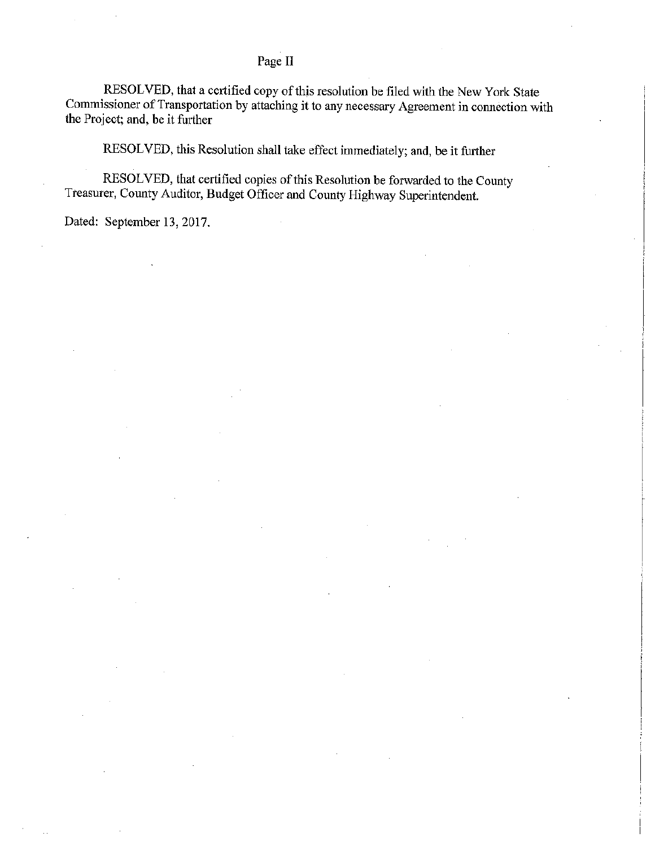### Page II

RESOLVED, that a certified copy of this resolution be filed with the New York State Commissioner of Transportation by attaching it to any necessary Agreement in connection with the Project; and, be it further

RESOLVED, this Resolution shall take effect immediately; and, be it further

RESOLVED, that certified copies of this Resolution be forwarded to the County Treasurer, County Auditor, Budget Officer and County Highway Superintendent.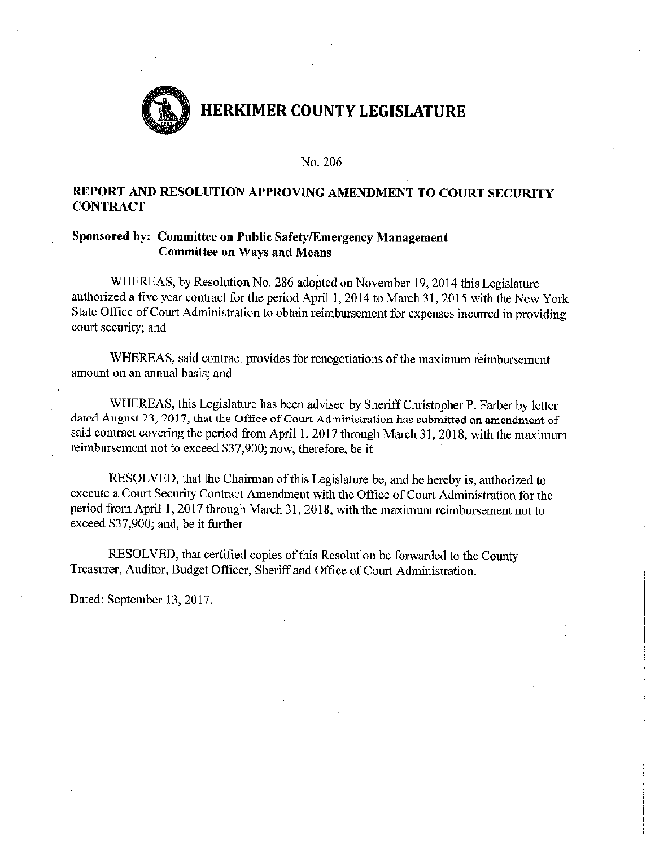

#### No. 206

### REPORT AND RESOLUTION APPROVING AMENDMENT TO COURT SECURITY **CONTRACT**

### Sponsored by: Committee on Public Safety/Emergency Management **Committee on Ways and Means**

WHEREAS, by Resolution No. 286 adopted on November 19, 2014 this Legislature authorized a five year contract for the period April 1, 2014 to March 31, 2015 with the New York State Office of Court Administration to obtain reimbursement for expenses incurred in providing court security; and

WHEREAS, said contract provides for renegotiations of the maximum reimbursement amount on an annual basis; and

WHEREAS, this Legislature has been advised by Sheriff Christopher P. Farber by letter dated August 23, 2017, that the Office of Court Administration has submitted an amendment of said contract covering the period from April 1, 2017 through March 31, 2018, with the maximum reimbursement not to exceed \$37,900; now, therefore, be it

RESOLVED, that the Chairman of this Legislature be, and he hereby is, authorized to execute a Court Security Contract Amendment with the Office of Court Administration for the period from April 1, 2017 through March 31, 2018, with the maximum reimbursement not to exceed \$37,900; and, be it further

RESOLVED, that certified copies of this Resolution be forwarded to the County Treasurer, Auditor, Budget Officer, Sheriff and Office of Court Administration.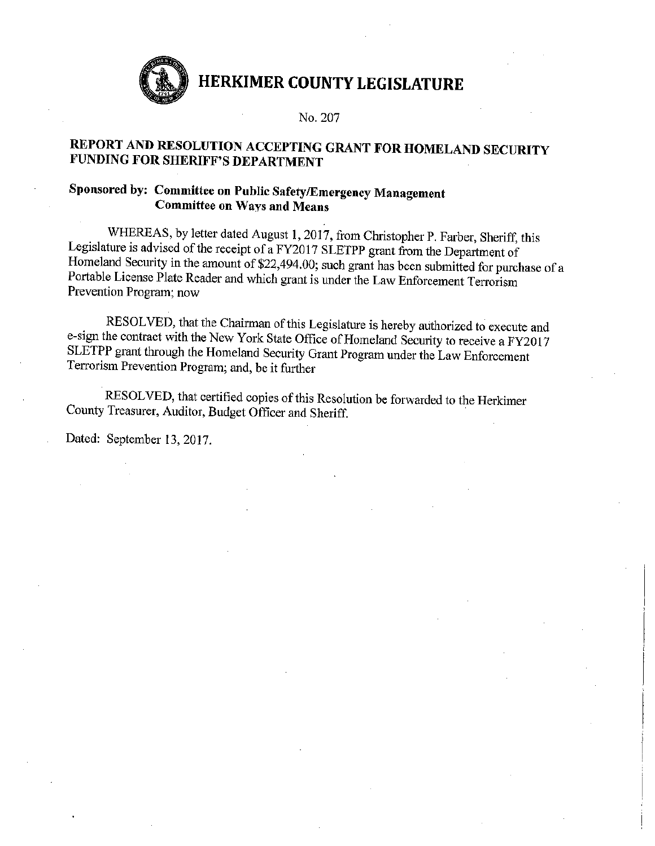

#### No. 207

## REPORT AND RESOLUTION ACCEPTING GRANT FOR HOMELAND SECURITY **FUNDING FOR SHERIFF'S DEPARTMENT**

## Sponsored by: Committee on Public Safety/Emergency Management **Committee on Ways and Means**

WHEREAS, by letter dated August 1, 2017, from Christopher P. Farber, Sheriff, this Legislature is advised of the receipt of a FY2017 SLETPP grant from the Department of Homeland Security in the amount of \$22,494.00; such grant has been submitted for purchase of a Portable License Plate Reader and which grant is under the Law Enforcement Terrorism Prevention Program; now

RESOLVED, that the Chairman of this Legislature is hereby authorized to execute and e-sign the contract with the New York State Office of Homeland Security to receive a FY2017 SLETPP grant through the Homeland Security Grant Program under the Law Enforcement Terrorism Prevention Program; and, be it further

RESOLVED, that certified copies of this Resolution be forwarded to the Herkimer County Treasurer, Auditor, Budget Officer and Sheriff.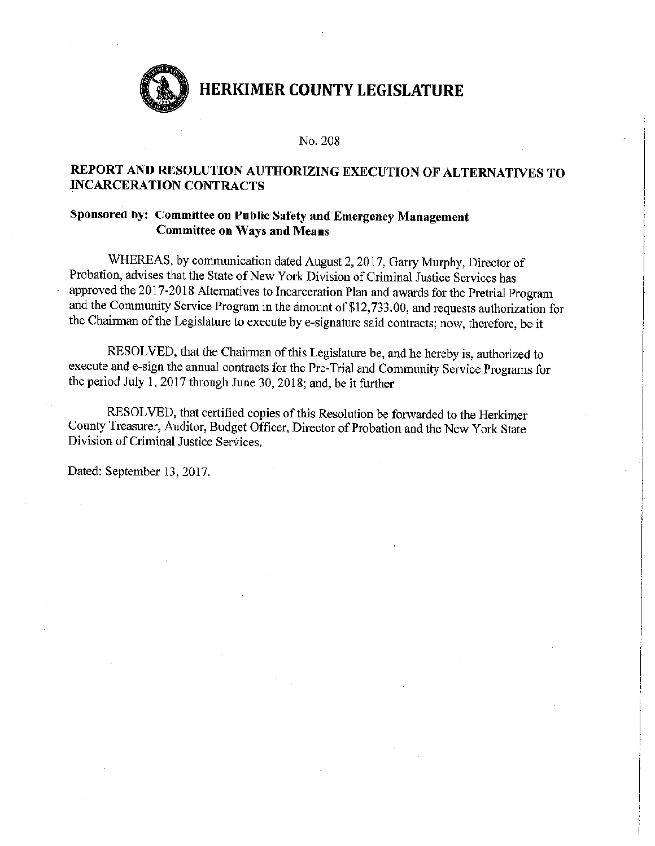

#### No. 208

### REPORT AND RESOLUTION AUTHORIZING EXECUTION OF ALTERNATIVES TO **INCARCERATION CONTRACTS**

### Sponsored by: Committee on Public Safety and Emergency Management **Committee on Ways and Means**

WHEREAS, by communication dated August 2, 2017, Garry Murphy, Director of Probation, advises that the State of New York Division of Criminal Justice Services has approved the 2017-2018 Alternatives to Incarceration Plan and awards for the Pretrial Program and the Community Service Program in the amount of \$12,733.00, and requests authorization for the Chairman of the Legislature to execute by e-signature said contracts; now, therefore, be it

RESOLVED, that the Chairman of this Legislature be, and he hereby is, authorized to execute and e-sign the annual contracts for the Pre-Trial and Community Service Programs for the period July 1, 2017 through June 30, 2018; and, be it further

RESOLVED, that certified copies of this Resolution be forwarded to the Herkimer County Treasurer, Auditor, Budget Officer, Director of Probation and the New York State Division of Criminal Justice Services.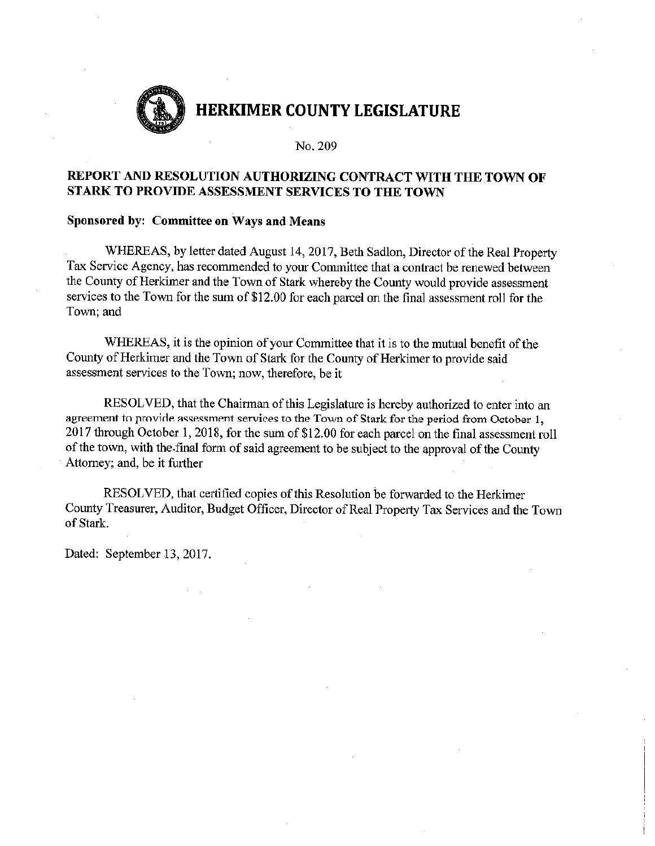

No. 209

### REPORT AND RESOLUTION AUTHORIZING CONTRACT WITH THE TOWN OF STARK TO PROVIDE ASSESSMENT SERVICES TO THE TOWN

#### Sponsored by: Committee on Ways and Means

WHEREAS, by letter dated August 14, 2017, Beth Sadlon, Director of the Real Property Tax Service Agency, has recommended to your Committee that a contract be renewed between the County of Herkimer and the Town of Stark whereby the County would provide assessment services to the Town for the sum of \$12.00 for each parcel on the final assessment roll for the Town; and

WHEREAS, it is the opinion of your Committee that it is to the mutual benefit of the County of Herkimer and the Town of Stark for the County of Herkimer to provide said assessment services to the Town; now, therefore, be it

RESOLVED, that the Chairman of this Legislature is hereby authorized to enter into an agreement to provide assessment services to the Town of Stark for the period from October 1. 2017 through October 1, 2018, for the sum of \$12.00 for each parcel on the final assessment roll of the town, with the final form of said agreement to be subject to the approval of the County Attorney; and, be it further

RESOLVED, that certified copies of this Resolution be forwarded to the Herkimer County Treasurer, Auditor, Budget Officer, Director of Real Property Tax Services and the Town of Stark.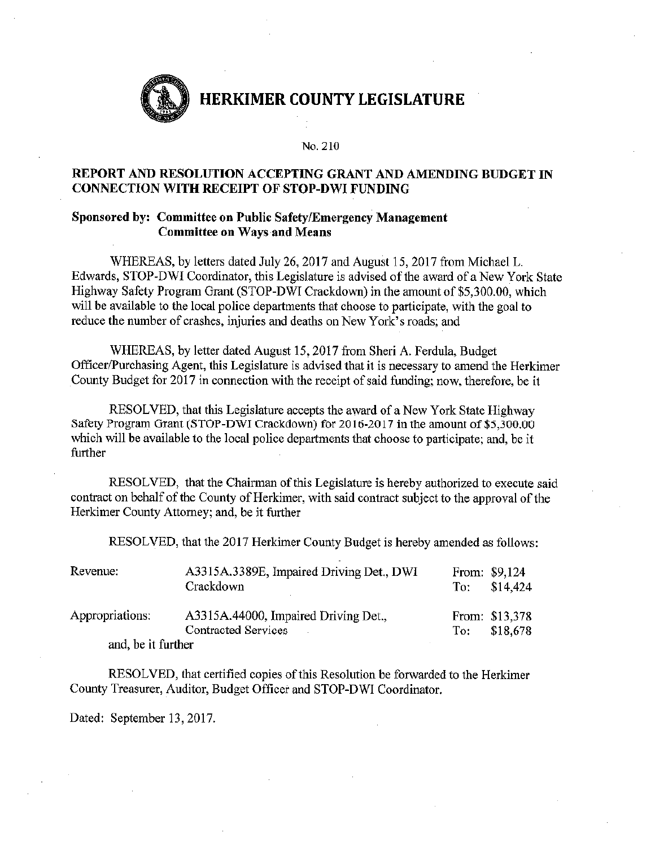

#### No. 210

### REPORT AND RESOLUTION ACCEPTING GRANT AND AMENDING BUDGET IN **CONNECTION WITH RECEIPT OF STOP-DWI FUNDING**

#### Sponsored by: Committee on Public Safety/Emergency Management **Committee on Ways and Means**

WHEREAS, by letters dated July 26, 2017 and August 15, 2017 from Michael L. Edwards, STOP-DWI Coordinator, this Legislature is advised of the award of a New York State Highway Safety Program Grant (STOP-DWI Crackdown) in the amount of \$5,300.00, which will be available to the local police departments that choose to participate, with the goal to reduce the number of crashes, injuries and deaths on New York's roads; and

WHEREAS, by letter dated August 15, 2017 from Sheri A. Ferdula, Budget Officer/Purchasing Agent, this Legislature is advised that it is necessary to amend the Herkimer County Budget for 2017 in connection with the receipt of said funding; now, therefore, be it

RESOLVED, that this Legislature accepts the award of a New York State Highway Safety Program Grant (STOP-DWI Crackdown) for 2016-2017 in the amount of \$5,300.00 which will be available to the local police departments that choose to participate; and, be it further

RESOLVED, that the Chairman of this Legislature is hereby authorized to execute said contract on behalf of the County of Herkimer, with said contract subject to the approval of the Herkimer County Attorney; and, be it further

RESOLVED, that the 2017 Herkimer County Budget is hereby amended as follows:

| Revenue:           | A3315A.3389E, Impaired Driving Det., DWI<br>Crackdown       |       | From: \$9,124<br>To: $$14,424$ |
|--------------------|-------------------------------------------------------------|-------|--------------------------------|
| Appropriations:    | A3315A.44000, Impaired Driving Det.,<br>Contracted Services | To: T | From: \$13,378<br>\$18.678     |
| and, be it further |                                                             |       |                                |

RESOLVED, that certified copies of this Resolution be forwarded to the Herkimer County Treasurer, Auditor, Budget Officer and STOP-DWI Coordinator.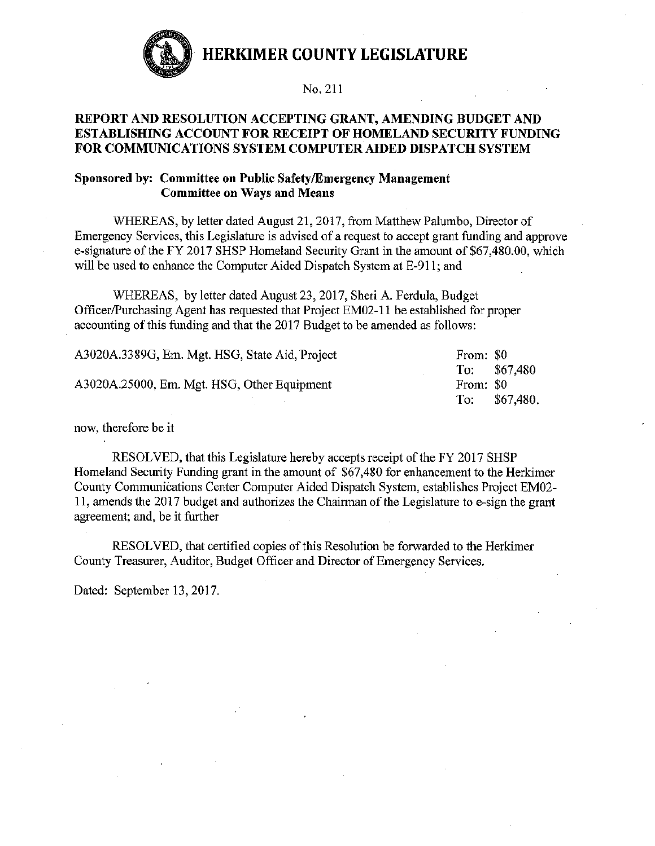

No. 211

### REPORT AND RESOLUTION ACCEPTING GRANT, AMENDING BUDGET AND **ESTABLISHING ACCOUNT FOR RECEIPT OF HOMELAND SECURITY FUNDING** FOR COMMUNICATIONS SYSTEM COMPUTER AIDED DISPATCH SYSTEM

### Sponsored by: Committee on Public Safety/Emergency Management **Committee on Ways and Means**

WHEREAS, by letter dated August 21, 2017, from Matthew Palumbo, Director of Emergency Services, this Legislature is advised of a request to accept grant funding and approve e-signature of the FY 2017 SHSP Homeland Security Grant in the amount of \$67,480.00, which will be used to enhance the Computer Aided Dispatch System at E-911; and

WHEREAS, by letter dated August 23, 2017, Sheri A. Ferdula, Budget Officer/Purchasing Agent has requested that Project EM02-11 be established for proper accounting of this funding and that the 2017 Budget to be amended as follows:

| To: $$67,480$          |
|------------------------|
|                        |
| To: \$67,480.          |
| From: \$0<br>From: \$0 |

now, therefore be it

RESOLVED, that this Legislature hereby accepts receipt of the FY 2017 SHSP Homeland Security Funding grant in the amount of \$67,480 for enhancement to the Herkimer County Communications Center Computer Aided Dispatch System, establishes Project EM02-11, amends the 2017 budget and authorizes the Chairman of the Legislature to e-sign the grant agreement; and, be it further

RESOLVED, that certified copies of this Resolution be forwarded to the Herkimer County Treasurer, Auditor, Budget Officer and Director of Emergency Services.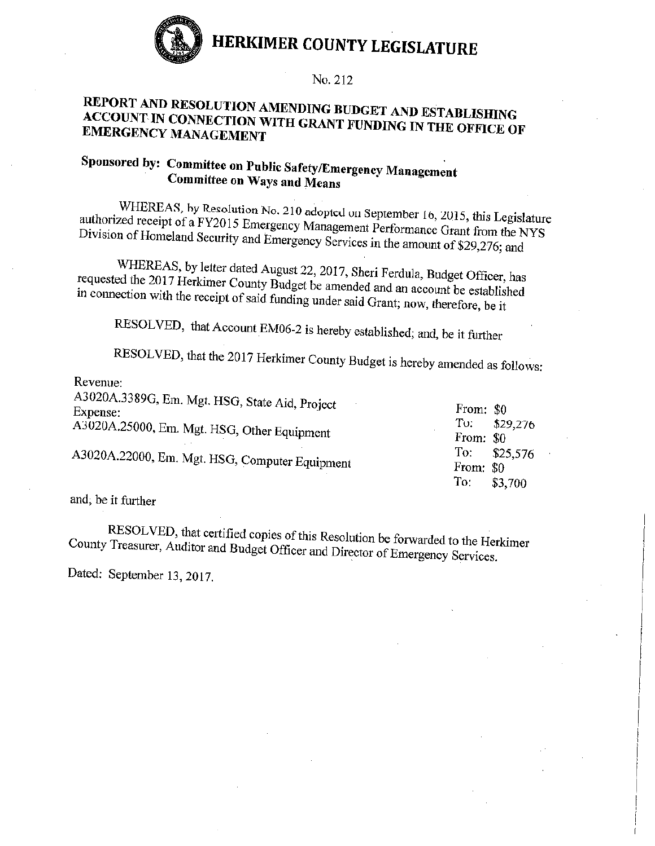

#### No. 212

## REPORT AND RESOLUTION AMENDING BUDGET AND ESTABLISHING ACCOUNT IN CONNECTION WITH GRANT FUNDING IN THE OFFICE OF **EMERGENCY MANAGEMENT**

## Sponsored by: Committee on Public Safety/Emergency Management **Committee on Ways and Means**

WHEREAS, by Resolution No. 210 adopted on September 16, 2015, this Legislature authorized receipt of a FY2015 Emergency Management Performance Grant from the NYS Division of Homeland Security and Emergency Services in the amount of \$29,276; and

WHEREAS, by letter dated August 22, 2017, Sheri Ferdula, Budget Officer, has requested the 2017 Herkimer County Budget be amended and an account be established in connection with the receipt of said funding under said Grant; now, therefore, be it

RESOLVED, that Account EM06-2 is hereby established; and, be it further

RESOLVED, that the 2017 Herkimer County Budget is hereby amended as follows:

| Revenue:                                                   |                               |
|------------------------------------------------------------|-------------------------------|
| A3020A.3389G, Em. Mgt. HSG, State Aid, Project<br>Expense: | From: \$0                     |
| A3020A.25000, Em. Mgt. HSG, Other Equipment                | To:<br>\$29,276<br>From: \$0  |
| A3020A.22000, Em. Mgt. HSG, Computer Equipment             | To:<br>\$25,576<br>From: $$0$ |
|                                                            | To:<br>\$3,700                |

and, be it further

RESOLVED, that certified copies of this Resolution be forwarded to the Herkimer County Treasurer, Auditor and Budget Officer and Director of Emergency Services.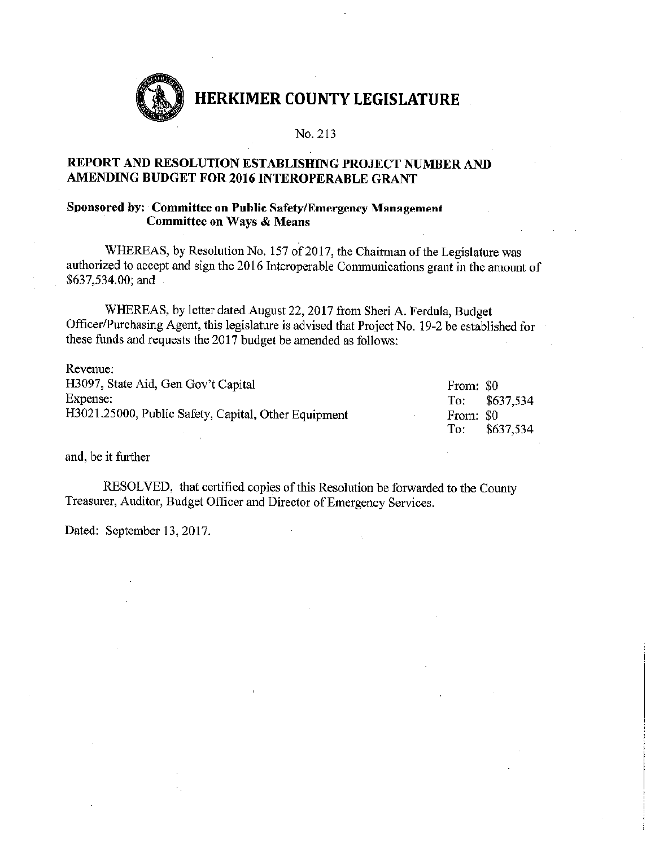

#### No. 213

### REPORT AND RESOLUTION ESTABLISHING PROJECT NUMBER AND AMENDING BUDGET FOR 2016 INTEROPERABLE GRANT

#### Sponsored by: Committee on Public Safety/Emergency Management **Committee on Ways & Means**

WHEREAS, by Resolution No. 157 of 2017, the Chairman of the Legislature was authorized to accept and sign the 2016 Interoperable Communications grant in the amount of \$637,534.00; and

WHEREAS, by letter dated August 22, 2017 from Sheri A. Ferdula, Budget Officer/Purchasing Agent, this legislature is advised that Project No. 19-2 be established for these funds and requests the 2017 budget be amended as follows:

| Revenue:                                             |           |                |
|------------------------------------------------------|-----------|----------------|
| H3097, State Aid, Gen Gov't Capital                  | From: \$0 |                |
| Expense:                                             |           | To: $$637,534$ |
| H3021.25000, Public Safety, Capital, Other Equipment | From: \$0 |                |
|                                                      | To:       | \$637,534      |

and, be it further

RESOLVED, that certified copies of this Resolution be forwarded to the County Treasurer, Auditor, Budget Officer and Director of Emergency Services.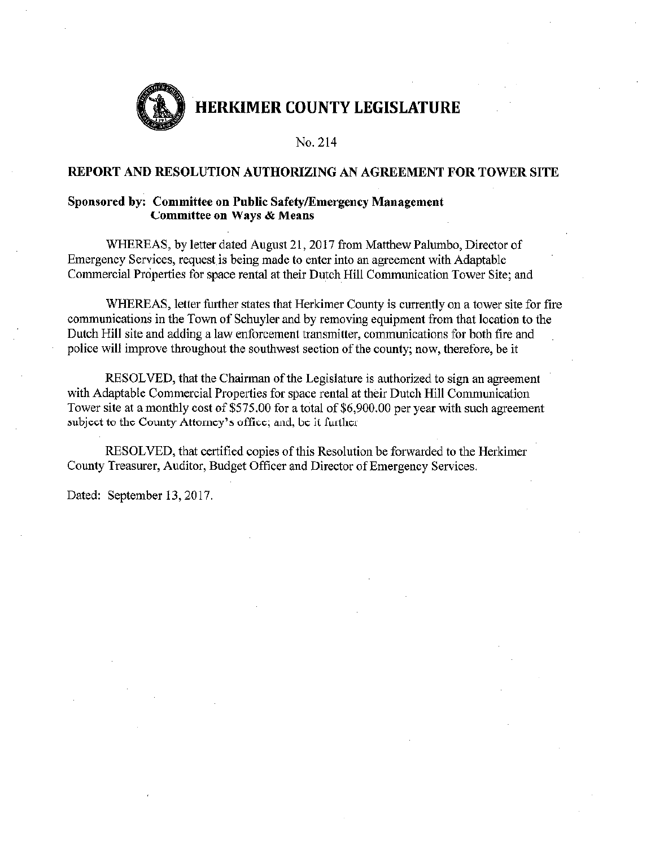

No. 214

#### REPORT AND RESOLUTION AUTHORIZING AN AGREEMENT FOR TOWER SITE

#### Sponsored by: Committee on Public Safety/Emergency Management **Committee on Ways & Means**

WHEREAS, by letter dated August 21, 2017 from Matthew Palumbo, Director of Emergency Services, request is being made to enter into an agreement with Adaptable Commercial Properties for space rental at their Dutch Hill Communication Tower Site; and

WHEREAS, letter further states that Herkimer County is currently on a tower site for fire communications in the Town of Schuyler and by removing equipment from that location to the Dutch Hill site and adding a law enforcement transmitter, communications for both fire and police will improve throughout the southwest section of the county; now, therefore, be it

RESOLVED, that the Chairman of the Legislature is authorized to sign an agreement with Adaptable Commercial Properties for space rental at their Dutch Hill Communication Tower site at a monthly cost of \$575.00 for a total of \$6,900.00 per year with such agreement subject to the County Attorney's office; and, be it further

RESOLVED, that certified copies of this Resolution be forwarded to the Herkimer County Treasurer, Auditor, Budget Officer and Director of Emergency Services.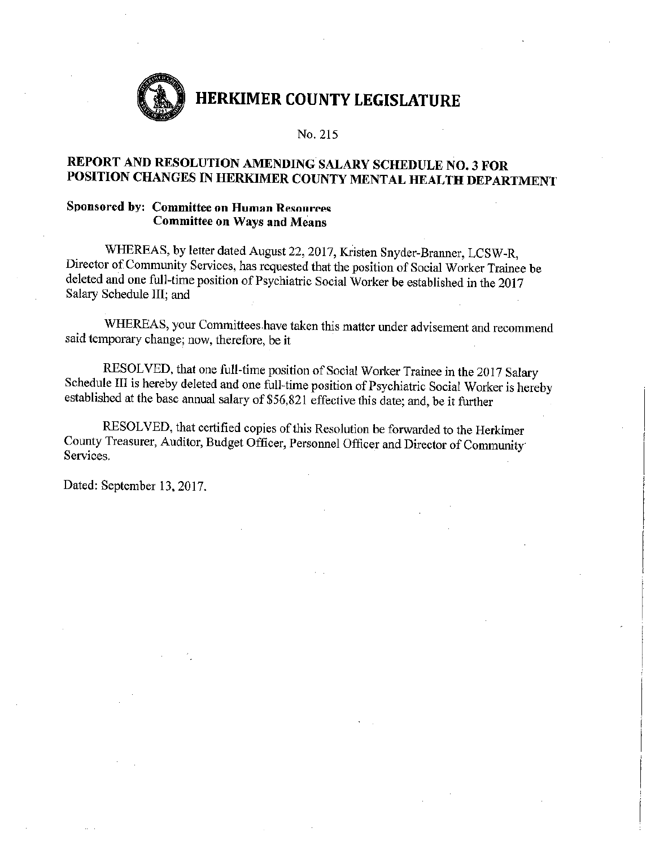

#### No. 215

## REPORT AND RESOLUTION AMENDING SALARY SCHEDULE NO. 3 FOR POSITION CHANGES IN HERKIMER COUNTY MENTAL HEALTH DEPARTMENT

### Sponsored by: Committee on Human Resources **Committee on Ways and Means**

WHEREAS, by letter dated August 22, 2017, Kristen Snyder-Branner, LCSW-R, Director of Community Services, has requested that the position of Social Worker Trainee be deleted and one full-time position of Psychiatric Social Worker be established in the 2017 Salary Schedule III; and

WHEREAS, your Committees have taken this matter under advisement and recommend said temporary change; now, therefore, be it

RESOLVED, that one full-time position of Social Worker Trainee in the 2017 Salary Schedule III is hereby deleted and one full-time position of Psychiatric Social Worker is hereby established at the base annual salary of \$56,821 effective this date; and, be it further

RESOLVED, that certified copies of this Resolution be forwarded to the Herkimer County Treasurer, Auditor, Budget Officer, Personnel Officer and Director of Community Services.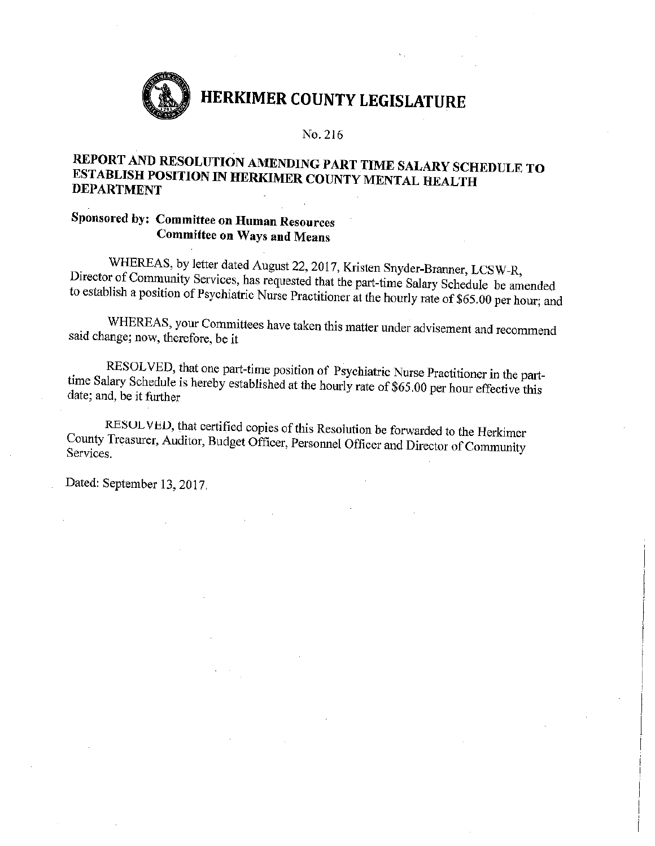

#### No. 216

### REPORT AND RESOLUTION AMENDING PART TIME SALARY SCHEDULE TO ESTABLISH POSITION IN HERKIMER COUNTY MENTAL HEALTH **DEPARTMENT**

## Sponsored by: Committee on Human Resources **Committee on Ways and Means**

WHEREAS, by letter dated August 22, 2017, Kristen Snyder-Branner, LCSW-R, Director of Community Services, has requested that the part-time Salary Schedule be amended to establish a position of Psychiatric Nurse Practitioner at the hourly rate of \$65.00 per hour; and

WHEREAS, your Committees have taken this matter under advisement and recommend said change; now, therefore, be it

RESOLVED, that one part-time position of Psychiatric Nurse Practitioner in the parttime Salary Schedule is hereby established at the hourly rate of \$65.00 per hour effective this date; and, be it further

RESOLVED, that certified copies of this Resolution be forwarded to the Herkimer County Treasurer, Auditor, Budget Officer, Personnel Officer and Director of Community Services.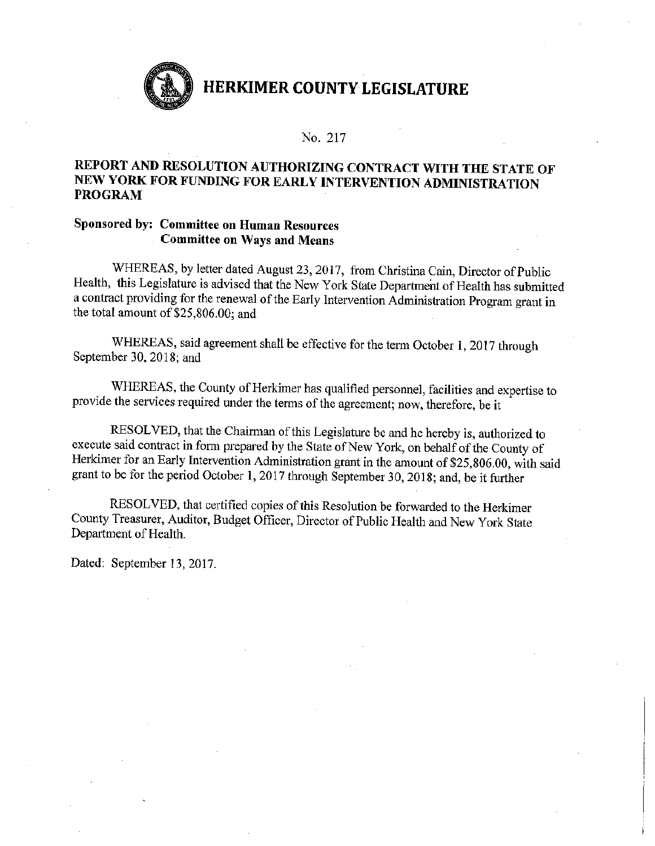

#### No. 217

### REPORT AND RESOLUTION AUTHORIZING CONTRACT WITH THE STATE OF NEW YORK FOR FUNDING FOR EARLY INTERVENTION ADMINISTRATION **PROGRAM**

### Sponsored by: Committee on Human Resources **Committee on Ways and Means**

WHEREAS, by letter dated August 23, 2017, from Christina Cain, Director of Public Health, this Legislature is advised that the New York State Department of Health has submitted a contract providing for the renewal of the Early Intervention Administration Program grant in the total amount of \$25,806.00: and

WHEREAS, said agreement shall be effective for the term October 1, 2017 through September 30, 2018; and

WHEREAS, the County of Herkimer has qualified personnel, facilities and expertise to provide the services required under the terms of the agreement; now, therefore, be it

RESOLVED, that the Chairman of this Legislature be and he hereby is, authorized to execute said contract in form prepared by the State of New York, on behalf of the County of Herkimer for an Early Intervention Administration grant in the amount of \$25,806.00, with said grant to be for the period October 1, 2017 through September 30, 2018; and, be it further

RESOLVED, that certified copies of this Resolution be forwarded to the Herkimer County Treasurer, Auditor, Budget Officer, Director of Public Health and New York State Department of Health.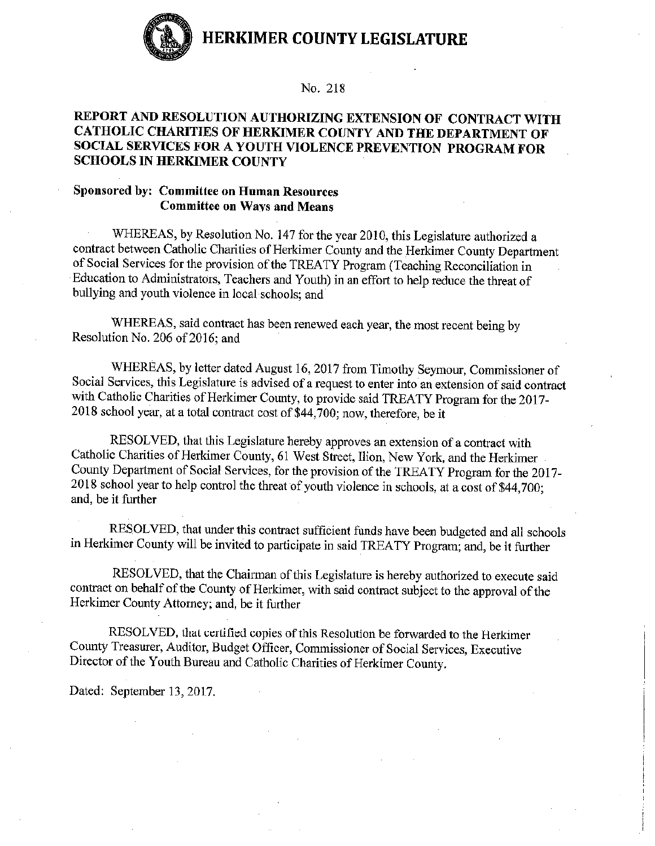

#### No. 218

### REPORT AND RESOLUTION AUTHORIZING EXTENSION OF CONTRACT WITH CATHOLIC CHARITIES OF HERKIMER COUNTY AND THE DEPARTMENT OF SOCIAL SERVICES FOR A YOUTH VIOLENCE PREVENTION PROGRAM FOR **SCHOOLS IN HERKIMER COUNTY**

### **Sponsored by: Committee on Human Resources Committee on Ways and Means**

WHEREAS, by Resolution No. 147 for the year 2010, this Legislature authorized a contract between Catholic Charities of Herkimer County and the Herkimer County Department of Social Services for the provision of the TREATY Program (Teaching Reconciliation in Education to Administrators, Teachers and Youth) in an effort to help reduce the threat of bullying and youth violence in local schools; and

WHEREAS, said contract has been renewed each year, the most recent being by Resolution No. 206 of 2016; and

WHEREAS, by letter dated August 16, 2017 from Timothy Seymour, Commissioner of Social Services, this Legislature is advised of a request to enter into an extension of said contract with Catholic Charities of Herkimer County, to provide said TREATY Program for the 2017-2018 school year, at a total contract cost of \$44,700; now, therefore, be it

RESOLVED, that this Legislature hereby approves an extension of a contract with Catholic Charities of Herkimer County, 61 West Street, Ilion, New York, and the Herkimer County Department of Social Services, for the provision of the TREATY Program for the 2017-2018 school year to help control the threat of youth violence in schools, at a cost of \$44,700; and, be it further

RESOLVED, that under this contract sufficient funds have been budgeted and all schools in Herkimer County will be invited to participate in said TREATY Program; and, be it further

RESOLVED, that the Chairman of this Legislature is hereby authorized to execute said contract on behalf of the County of Herkimer, with said contract subject to the approval of the Herkimer County Attorney; and, be it further

RESOLVED, that certified copies of this Resolution be forwarded to the Herkimer County Treasurer, Auditor, Budget Officer, Commissioner of Social Services, Executive Director of the Youth Bureau and Catholic Charities of Herkimer County.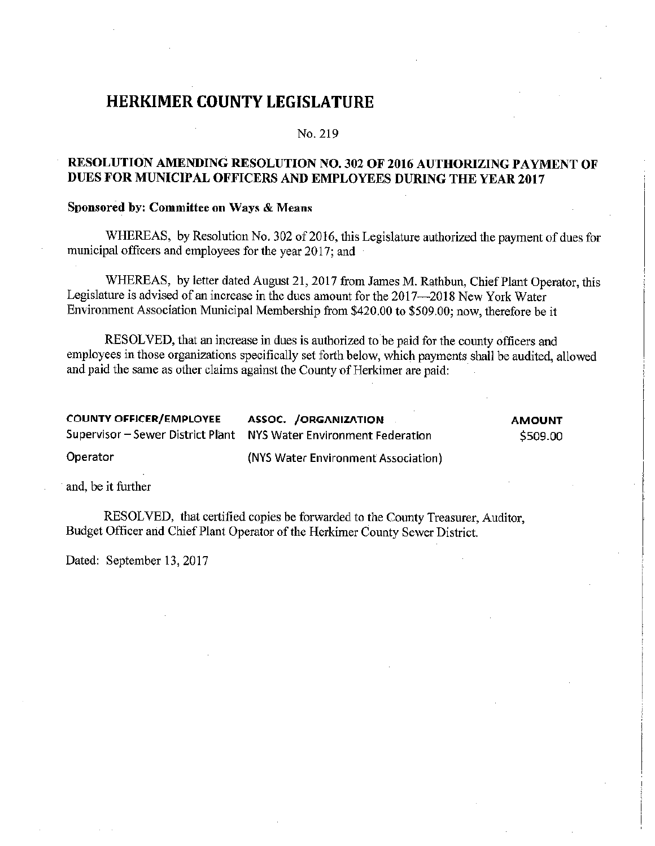#### No. 219

### RESOLUTION AMENDING RESOLUTION NO. 302 OF 2016 AUTHORIZING PAYMENT OF DUES FOR MUNICIPAL OFFICERS AND EMPLOYEES DURING THE YEAR 2017

### Sponsored by: Committee on Ways & Means

WHEREAS, by Resolution No. 302 of 2016, this Legislature authorized the payment of dues for municipal officers and employees for the year 2017; and

WHEREAS, by letter dated August 21, 2017 from James M. Rathbun, Chief Plant Operator, this Legislature is advised of an increase in the dues amount for the 2017—2018 New York Water Environment Association Municipal Membership from \$420.00 to \$509.00; now, therefore be it

RESOLVED, that an increase in dues is authorized to be paid for the county officers and employees in those organizations specifically set forth below, which payments shall be audited, allowed and paid the same as other claims against the County of Herkimer are paid:

| <b>COUNTY OFFICER/EMPLOYEE</b> | <b>ASSOC. / ORGANIZATION</b>                                       | <b>AMOUNT</b> |
|--------------------------------|--------------------------------------------------------------------|---------------|
|                                | Supervisor - Sewer District Plant NYS Water Environment Federation | \$509.00      |
| Operator                       | (NYS Water Environment Association)                                |               |

and, be it further

RESOLVED, that certified copies be forwarded to the County Treasurer, Auditor, Budget Officer and Chief Plant Operator of the Herkimer County Sewer District.

Dated: September 13, 2017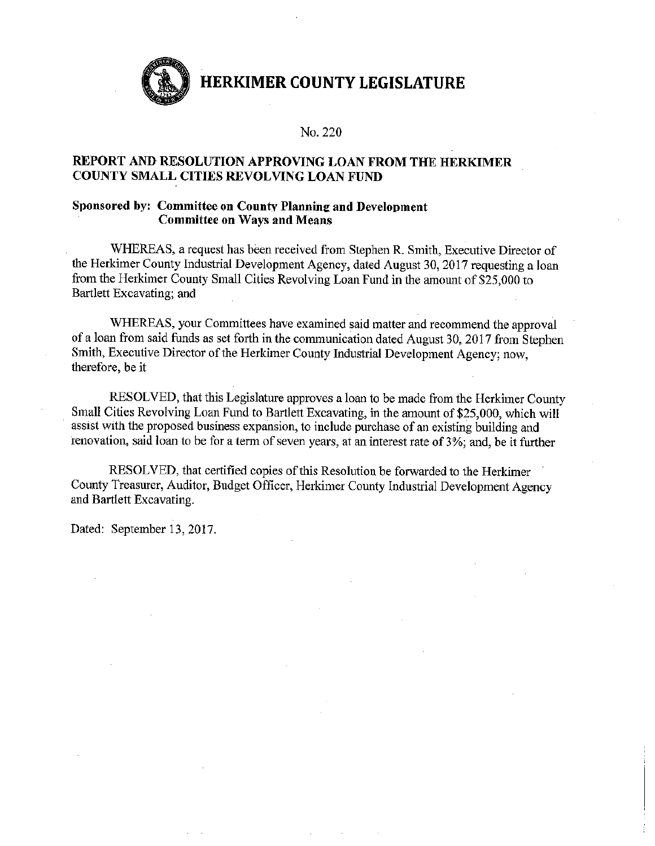

#### No. 220

### REPORT AND RESOLUTION APPROVING LOAN FROM THE HERKIMER COUNTY SMALL CITIES REVOLVING LOAN FUND

### Sponsored by: Committee on County Planning and Development **Committee on Ways and Means**

WHEREAS, a request has been received from Stephen R. Smith, Executive Director of the Herkimer County Industrial Development Agency, dated August 30, 2017 requesting a loan from the Herkimer County Small Cities Revolving Loan Fund in the amount of \$25,000 to Bartlett Excavating; and

WHEREAS, your Committees have examined said matter and recommend the approval of a loan from said funds as set forth in the communication dated August 30, 2017 from Stephen Smith, Executive Director of the Herkimer County Industrial Development Agency; now, therefore, be it

RESOLVED, that this Legislature approves a loan to be made from the Herkimer County Small Cities Revolving Loan Fund to Bartlett Excavating, in the amount of \$25,000, which will assist with the proposed business expansion, to include purchase of an existing building and renovation, said loan to be for a term of seven years, at an interest rate of 3%; and, be it further

RESOLVED, that certified copies of this Resolution be forwarded to the Herkimer County Treasurer, Auditor, Budget Officer, Herkimer County Industrial Development Agency and Bartlett Excavating.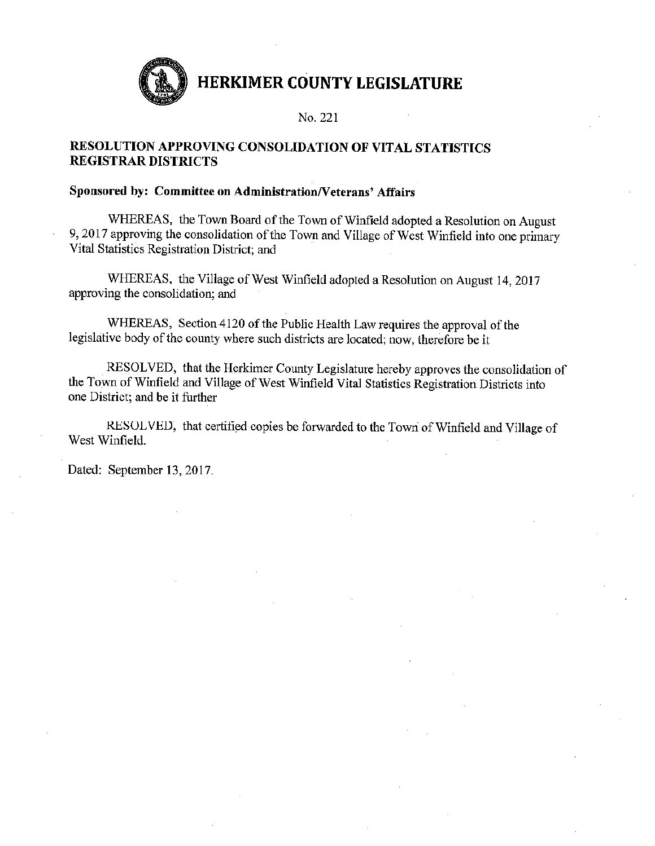

#### No. 221

### RESOLUTION APPROVING CONSOLIDATION OF VITAL STATISTICS **REGISTRAR DISTRICTS**

### Sponsored by: Committee on Administration/Veterans' Affairs

WHEREAS, the Town Board of the Town of Winfield adopted a Resolution on August 9, 2017 approving the consolidation of the Town and Village of West Winfield into one primary Vital Statistics Registration District; and

WHEREAS, the Village of West Winfield adopted a Resolution on August 14, 2017 approving the consolidation; and

WHEREAS, Section 4120 of the Public Health Law requires the approval of the legislative body of the county where such districts are located; now, therefore be it

RESOLVED, that the Herkimer County Legislature hereby approves the consolidation of the Town of Winfield and Village of West Winfield Vital Statistics Registration Districts into one District; and be it further

RESOLVED, that certified copies be forwarded to the Town of Winfield and Village of West Winfield.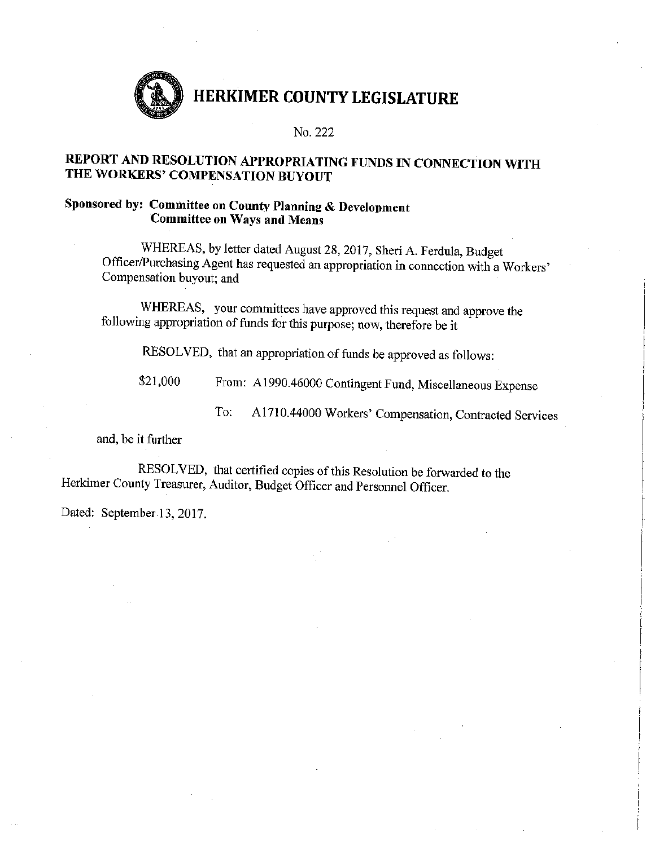

No. 222

## REPORT AND RESOLUTION APPROPRIATING FUNDS IN CONNECTION WITH THE WORKERS' COMPENSATION BUYOUT

### Sponsored by: Committee on County Planning & Development **Committee on Ways and Means**

WHEREAS, by letter dated August 28, 2017, Sheri A. Ferdula, Budget Officer/Purchasing Agent has requested an appropriation in connection with a Workers' Compensation buyout; and

WHEREAS, your committees have approved this request and approve the following appropriation of funds for this purpose; now, therefore be it

RESOLVED, that an appropriation of funds be approved as follows:

From: A1990.46000 Contingent Fund, Miscellaneous Expense \$21,000

> A1710.44000 Workers' Compensation, Contracted Services To:

and, be it further

RESOLVED, that certified copies of this Resolution be forwarded to the Herkimer County Treasurer, Auditor, Budget Officer and Personnel Officer.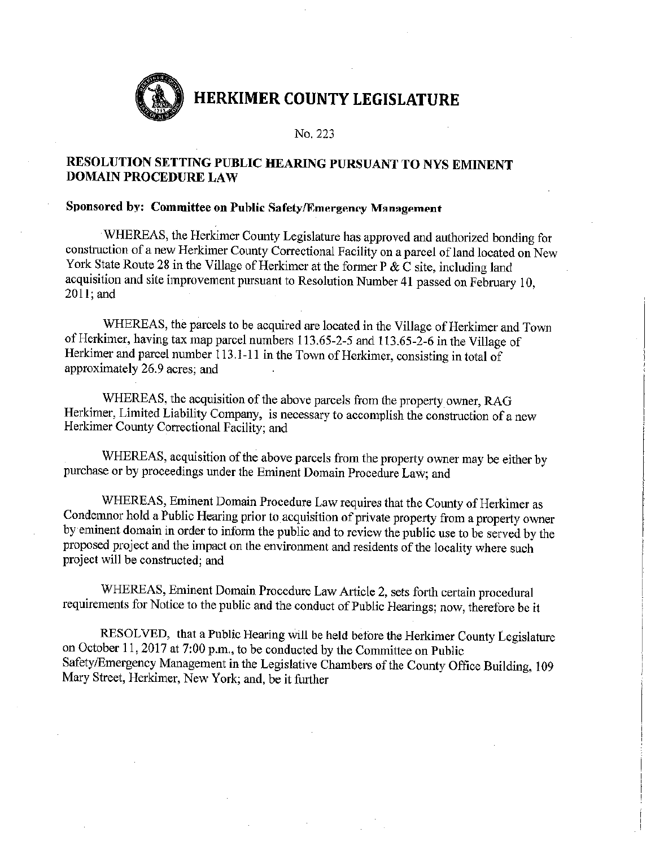No. 223

### RESOLUTION SETTING PUBLIC HEARING PURSUANT TO NYS EMINENT **DOMAIN PROCEDURE LAW**

### Sponsored by: Committee on Public Safety/Emergency Management

WHEREAS, the Herkimer County Legislature has approved and authorized bonding for construction of a new Herkimer County Correctional Facility on a parcel of land located on New York State Route 28 in the Village of Herkimer at the former P  $\& \hat{C}$  site, including land acquisition and site improvement pursuant to Resolution Number 41 passed on February 10,  $2011$ ; and

WHEREAS, the parcels to be acquired are located in the Village of Herkimer and Town of Herkimer, having tax map parcel numbers 113.65-2-5 and 113.65-2-6 in the Village of Herkimer and parcel number 113.1-11 in the Town of Herkimer, consisting in total of approximately 26.9 acres; and

WHEREAS, the acquisition of the above parcels from the property owner, RAG Herkimer, Limited Liability Company, is necessary to accomplish the construction of a new Herkimer County Correctional Facility; and

WHEREAS, acquisition of the above parcels from the property owner may be either by purchase or by proceedings under the Eminent Domain Procedure Law; and

WHEREAS, Eminent Domain Procedure Law requires that the County of Herkimer as Condemnor hold a Public Hearing prior to acquisition of private property from a property owner by eminent domain in order to inform the public and to review the public use to be served by the proposed project and the impact on the environment and residents of the locality where such project will be constructed; and

WHEREAS, Eminent Domain Procedure Law Article 2, sets forth certain procedural requirements for Notice to the public and the conduct of Public Hearings; now, therefore be it

RESOLVED, that a Public Hearing will be held before the Herkimer County Legislature on October 11, 2017 at 7:00 p.m., to be conducted by the Committee on Public Safety/Emergency Management in the Legislative Chambers of the County Office Building, 109 Mary Street, Herkimer, New York; and, be it further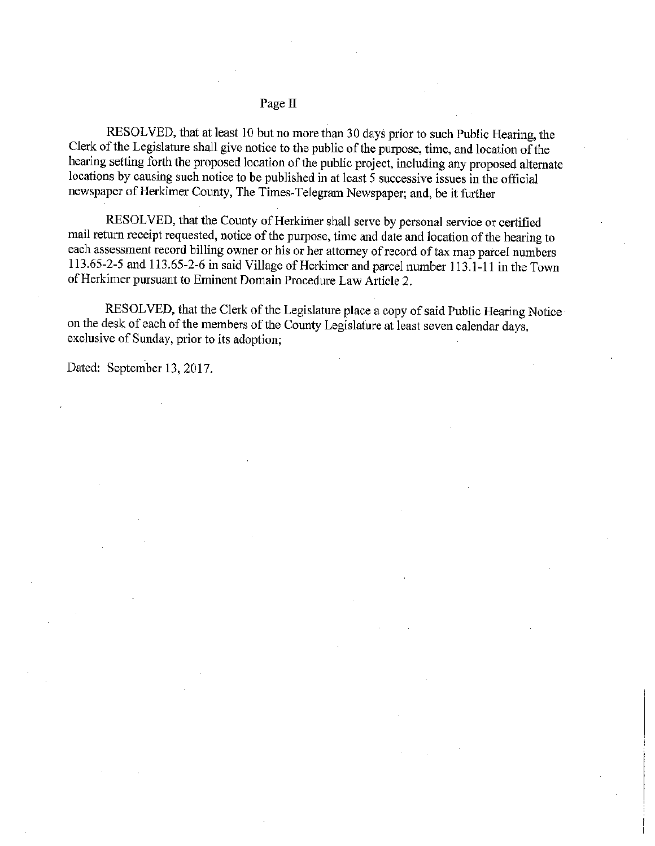#### Page II

RESOLVED, that at least 10 but no more than 30 days prior to such Public Hearing, the Clerk of the Legislature shall give notice to the public of the purpose, time, and location of the hearing setting forth the proposed location of the public project, including any proposed alternate locations by causing such notice to be published in at least 5 successive issues in the official newspaper of Herkimer County, The Times-Telegram Newspaper, and, be it further

RESOLVED, that the County of Herkimer shall serve by personal service or certified mail return receipt requested, notice of the purpose, time and date and location of the hearing to each assessment record billing owner or his or her attorney of record of tax map parcel numbers 113.65-2-5 and 113.65-2-6 in said Village of Herkimer and parcel number 113.1-11 in the Town of Herkimer pursuant to Eminent Domain Procedure Law Article 2.

RESOLVED, that the Clerk of the Legislature place a copy of said Public Hearing Notice on the desk of each of the members of the County Legislature at least seven calendar days, exclusive of Sunday, prior to its adoption;